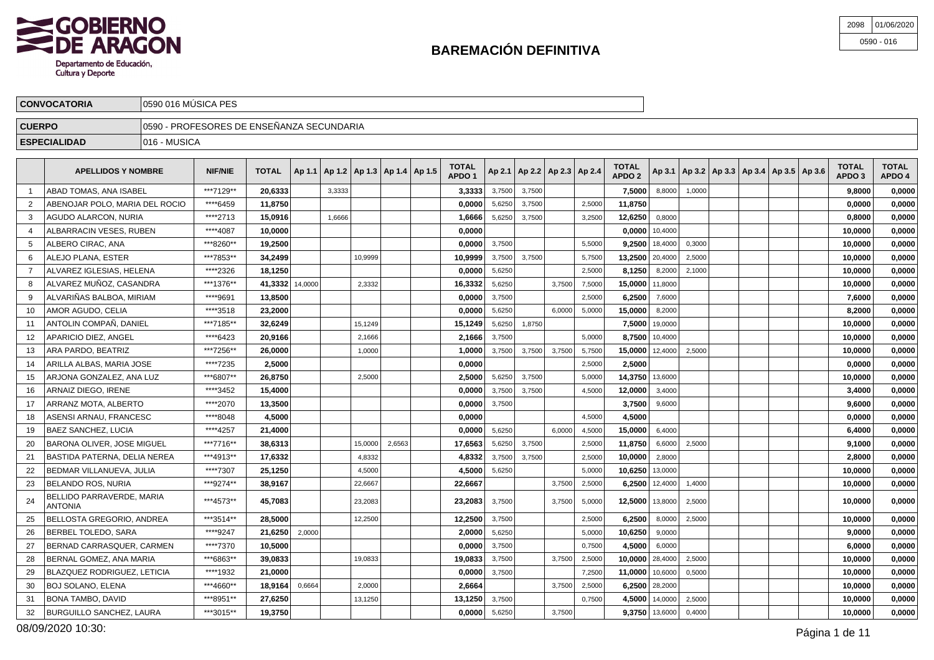

| 2098 | 01/06/2020   |
|------|--------------|
|      | $0590 - 016$ |

| <b>CONVOCATORIA</b> | 10590 016 MÚSICA PES             |                                            |  |  |  |  |  |  |        |  |  |  |  |             |  |  |  |  |        |             |
|---------------------|----------------------------------|--------------------------------------------|--|--|--|--|--|--|--------|--|--|--|--|-------------|--|--|--|--|--------|-------------|
| <b>CUERPO</b>       |                                  | ∏0590 - PROFESORES DE ENSEÑANZA SECUNDARIA |  |  |  |  |  |  |        |  |  |  |  |             |  |  |  |  |        |             |
| <b>ESPECIALIDAD</b> | $\bigtriangledown$ 1016 - MUSICA |                                            |  |  |  |  |  |  |        |  |  |  |  |             |  |  |  |  |        |             |
|                     |                                  |                                            |  |  |  |  |  |  | ------ |  |  |  |  | $- - - - -$ |  |  |  |  | ------ | $- - - - -$ |

|                | <b>APELLIDOS Y NOMBRE</b>                   | <b>NIF/NIE</b> | <b>TOTAL</b> | Ap 1.1   Ap 1.2   Ap 1.3   Ap 1.4   Ap 1.5 |        |         |        | <b>TOTAL</b><br>APDO <sub>1</sub> |        | Ap 2.1   Ap 2.2   Ap 2.3   Ap 2.4 |        |        | TOTAL<br>APDO <sub>2</sub> |                  | Ap 3.1   Ap 3.2   Ap 3.3   Ap 3.4   Ap 3.5   Ap 3.6 |  |  | TOTAL<br>APDO <sub>3</sub> | <b>TOTAL</b><br>APDO 4 |
|----------------|---------------------------------------------|----------------|--------------|--------------------------------------------|--------|---------|--------|-----------------------------------|--------|-----------------------------------|--------|--------|----------------------------|------------------|-----------------------------------------------------|--|--|----------------------------|------------------------|
|                | ABAD TOMAS, ANA ISABEL                      | ***7129**      | 20,6333      |                                            | 3,3333 |         |        | 3,3333                            | 3,7500 | 3,7500                            |        |        | 7.5000                     | 8,8000           | 1,0000                                              |  |  | 9.8000                     | 0,0000                 |
|                | ABENOJAR POLO. MARIA DEL ROCIO              | ****6459       | 11,8750      |                                            |        |         |        | 0,0000                            | 5,6250 | 3,7500                            |        | 2,5000 | 11,8750                    |                  |                                                     |  |  | 0.0000                     | 0,0000                 |
| 3              | AGUDO ALARCON, NURIA                        | ****2713       | 15,0916      |                                            | 1.6666 |         |        | 1,6666                            | 5,6250 | 3,7500                            |        | 3,2500 | 12,6250                    | 0,8000           |                                                     |  |  | 0,8000                     | 0,0000                 |
| 4              | ALBARRACIN VESES, RUBEN                     | ****4087       | 10.0000      |                                            |        |         |        | 0,0000                            |        |                                   |        |        | $0.0000$   10,4000         |                  |                                                     |  |  | 10,0000                    | 0,0000                 |
| 5              | ALBERO CIRAC, ANA                           | ***8260**      | 19,2500      |                                            |        |         |        | 0,0000                            | 3,7500 |                                   |        | 5,5000 | $9,2500$ 18,4000           |                  | 0,3000                                              |  |  | 10,0000                    | 0,0000                 |
| 6              | ALEJO PLANA, ESTER                          | ***7853**      | 34,2499      |                                            |        | 10,9999 |        | 10,9999                           | 3,7500 | 3,7500                            |        | 5,7500 | 13,2500                    | 20,4000          | 2,5000                                              |  |  | 10,0000                    | 0,0000                 |
| $\overline{7}$ | ALVAREZ IGLESIAS, HELENA                    | ****2326       | 18,1250      |                                            |        |         |        | 0,0000                            | 5,6250 |                                   |        | 2,5000 | 8,1250                     | 8,2000           | 2,1000                                              |  |  | 10,0000                    | 0,0000                 |
| 8              | ALVAREZ MUÑOZ, CASANDRA                     | ***1376**      | 41,3332      | 14,0000                                    |        | 2,3332  |        | 16,3332                           | 5,6250 |                                   | 3,7500 | 7,5000 | 15.0000 11,8000            |                  |                                                     |  |  | 10.0000                    | 0,0000                 |
| 9              | ALVARIÑAS BALBOA, MIRIAM                    | ****9691       | 13,8500      |                                            |        |         |        | 0,0000                            | 3,7500 |                                   |        | 2,5000 | 6,2500                     | 7,6000           |                                                     |  |  | 7,6000                     | 0,0000                 |
| 10             | AMOR AGUDO, CELIA                           | ****3518       | 23,2000      |                                            |        |         |        | 0,0000                            | 5,6250 |                                   | 6,0000 | 5,0000 | 15,0000                    | 8,2000           |                                                     |  |  | 8,2000                     | 0,0000                 |
| 11             | ANTOLIN COMPAÑ. DANIEL                      | ***7185**      | 32.6249      |                                            |        | 15.1249 |        | 15.1249                           | 5,6250 | 1,8750                            |        |        | 7.5000                     | 19,0000          |                                                     |  |  | 10.0000                    | 0,0000                 |
| 12             | APARICIO DIEZ. ANGEL                        | ****6423       | 20.9166      |                                            |        | 2.1666  |        | 2,1666                            | 3.7500 |                                   |        | 5.0000 | 8.7500                     | 10,4000          |                                                     |  |  | 10.0000                    | 0,0000                 |
| 13             | ARA PARDO, BEATRIZ                          | ***7256**      | 26,0000      |                                            |        | 1,0000  |        | 1.0000                            | 3,7500 | 3,7500                            | 3,7500 | 5,7500 | 15,0000                    | 12,4000          | 2,5000                                              |  |  | 10.0000                    | 0,0000                 |
| 14             | ARILLA ALBAS, MARIA JOSE                    | ****7235       | 2,5000       |                                            |        |         |        | 0,0000                            |        |                                   |        | 2,5000 | 2,5000                     |                  |                                                     |  |  | 0,0000                     | 0,0000                 |
| 15             | ARJONA GONZALEZ, ANA LUZ                    | ***6807**      | 26,8750      |                                            |        | 2,5000  |        | 2,5000                            | 5,6250 | 3,7500                            |        | 5,0000 | 14,3750 13,6000            |                  |                                                     |  |  | 10,0000                    | 0,0000                 |
| 16             | ARNAIZ DIEGO, IRENE                         | ****3452       | 15,4000      |                                            |        |         |        | 0,0000                            | 3,7500 | 3,7500                            |        | 4,5000 | 12,0000                    | 3,4000           |                                                     |  |  | 3,4000                     | 0,0000                 |
| 17             | ARRANZ MOTA, ALBERTO                        | ****2070       | 13,3500      |                                            |        |         |        | 0,0000                            | 3,7500 |                                   |        |        | 3,7500                     | 9,6000           |                                                     |  |  | 9.6000                     | 0,0000                 |
| 18             | ASENSI ARNAU. FRANCESC                      | ****8048       | 4,5000       |                                            |        |         |        | 0,0000                            |        |                                   |        | 4.5000 | 4,5000                     |                  |                                                     |  |  | 0,0000                     | 0,0000                 |
| 19             | <b>BAEZ SANCHEZ, LUCIA</b>                  | ****4257       | 21,4000      |                                            |        |         |        | 0.0000                            | 5.6250 |                                   | 6.0000 | 4,5000 | 15,0000                    | 6,4000           |                                                     |  |  | 6,4000                     | 0,0000                 |
| 20             | <b>BARONA OLIVER, JOSE MIGUEL</b>           | ***7716**      | 38,6313      |                                            |        | 15,0000 | 2,6563 | 17,6563                           | 5,6250 | 3,7500                            |        | 2,5000 | 11.8750                    | 6,6000           | 2,5000                                              |  |  | 9.1000                     | 0,0000                 |
| 21             | BASTIDA PATERNA. DELIA NEREA                | ***4913**      | 17,6332      |                                            |        | 4,8332  |        | 4,8332                            | 3,7500 | 3,7500                            |        | 2,5000 | 10,0000                    | 2,8000           |                                                     |  |  | 2.8000                     | 0,0000                 |
| 22             | BEDMAR VILLANUEVA, JULIA                    | ****7307       | 25,1250      |                                            |        | 4,5000  |        | 4,5000                            | 5,6250 |                                   |        | 5,0000 | 10,6250                    | 13,0000          |                                                     |  |  | 10,0000                    | 0,0000                 |
| 23             | <b>BELANDO ROS, NURIA</b>                   | ***9274**      | 38,9167      |                                            |        | 22,6667 |        | 22,6667                           |        |                                   | 3,7500 | 2,5000 | 6,2500                     | 12,4000          | 1,4000                                              |  |  | 10,0000                    | 0,0000                 |
| 24             | BELLIDO PARRAVERDE, MARIA<br><b>ANTONIA</b> | ***4573**      | 45,7083      |                                            |        | 23,2083 |        | 23,2083                           | 3,7500 |                                   | 3,7500 | 5,0000 | 12,5000                    | 13,8000          | 2,5000                                              |  |  | 10,0000                    | 0,0000                 |
| 25             | <b>BELLOSTA GREGORIO, ANDREA</b>            | ***3514**      | 28.5000      |                                            |        | 12,2500 |        | 12,2500                           | 3,7500 |                                   |        | 2,5000 | 6.2500                     | 8,0000           | 2,5000                                              |  |  | 10.0000                    | 0,0000                 |
| 26             | BERBEL TOLEDO, SARA                         | ****9247       | 21,6250      | 2,0000                                     |        |         |        | 2,0000                            | 5,6250 |                                   |        | 5,0000 | 10,6250                    | 9,0000           |                                                     |  |  | 9.0000                     | 0,0000                 |
| 27             | BERNAD CARRASQUER, CARMEN                   | ****7370       | 10,5000      |                                            |        |         |        | 0,0000                            | 3,7500 |                                   |        | 0.7500 | 4.5000                     | 6.0000           |                                                     |  |  | 6,0000                     | 0,0000                 |
| 28             | BERNAL GOMEZ, ANA MARIA                     | ***6863**      | 39.0833      |                                            |        | 19,0833 |        | 19.0833                           | 3,7500 |                                   | 3,7500 | 2,5000 | 10,0000                    | 28,4000          | 2,5000                                              |  |  | 10.0000                    | 0,0000                 |
| 29             | BLAZQUEZ RODRIGUEZ, LETICIA                 | ****1932       | 21,0000      |                                            |        |         |        | 0,0000                            | 3,7500 |                                   |        | 7,2500 | 11,0000                    | 10,6000          | 0,5000                                              |  |  | 10,0000                    | 0,0000                 |
| 30             | <b>BOJ SOLANO, ELENA</b>                    | ***4660**      | 18,9164      | 0,6664                                     |        | 2,0000  |        | 2,6664                            |        |                                   | 3,7500 | 2,5000 | 6,2500 28,2000             |                  |                                                     |  |  | 10,0000                    | 0,0000                 |
| 31             | <b>BONA TAMBO, DAVID</b>                    | ***8951**      | 27,6250      |                                            |        | 13,1250 |        | 13,1250                           | 3,7500 |                                   |        | 0,7500 | 4,5000                     | 14,0000          | 2,5000                                              |  |  | 10,0000                    | 0,0000                 |
| 32             | <b>BURGUILLO SANCHEZ, LAURA</b>             | ***3015**      | 19,3750      |                                            |        |         |        | 0.0000                            | 5,6250 |                                   | 3,7500 |        |                            | $9,3750$ 13,6000 | 0,4000                                              |  |  | 10.0000                    | 0,0000                 |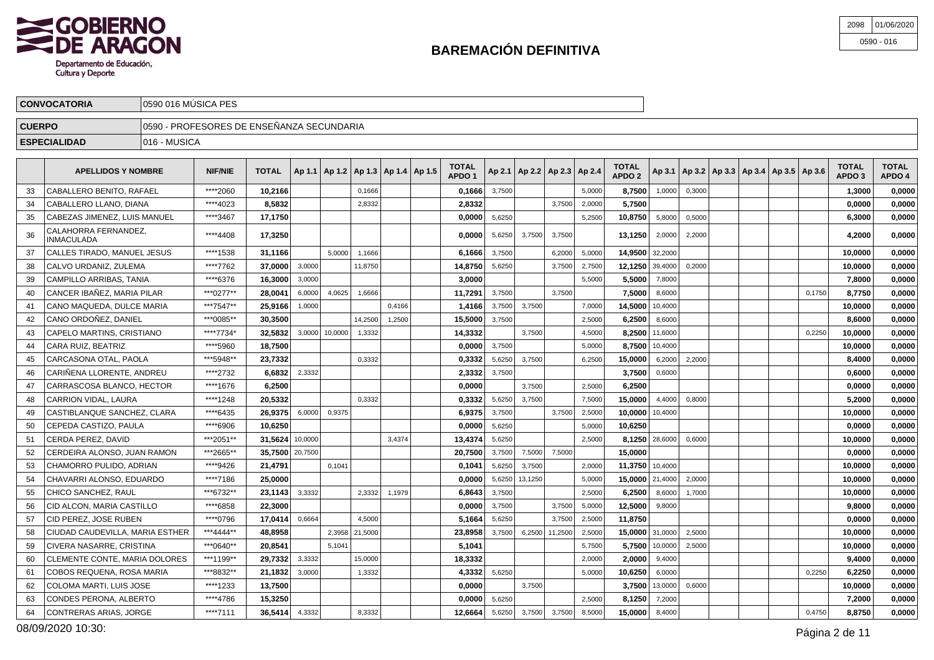

| 2098 01/06/2020 |
|-----------------|
| $0590 - 016$    |

|               | <b>CONVOCATORIA</b>             | 10590 016 MUSICA PES                                                                                                                                                                                          |          |          |  |  |        |  |  |        |        |  |  |        |        |        |        |  |                                                     |                                   |                        |
|---------------|---------------------------------|---------------------------------------------------------------------------------------------------------------------------------------------------------------------------------------------------------------|----------|----------|--|--|--------|--|--|--------|--------|--|--|--------|--------|--------|--------|--|-----------------------------------------------------|-----------------------------------|------------------------|
| <b>CUERPO</b> |                                 | 0590 - PROFESORES DE ENSEÑANZA SECUNDARIA                                                                                                                                                                     |          |          |  |  |        |  |  |        |        |  |  |        |        |        |        |  |                                                     |                                   |                        |
|               | <b>ESPECIALIDAD</b>             | 1016 - MUSICA                                                                                                                                                                                                 |          |          |  |  |        |  |  |        |        |  |  |        |        |        |        |  |                                                     |                                   |                        |
|               |                                 | <b>TOTAL</b><br><b>TOTAL</b><br><b>NIF/NIE</b><br>TOTAL $ $ Ap 1.1   Ap 1.2   Ap 1.3   Ap 1.4   Ap 1.5  <br>$ $ Ap 2.1   Ap 2.2   Ap 2.3   Ap 2.4  <br><b>APELLIDOS Y NOMBRE</b><br>APDO <sub>2</sub><br>APDO |          |          |  |  |        |  |  |        |        |  |  |        |        |        |        |  | Ap 3.1   Ap 3.2   Ap 3.3   Ap 3.4   Ap 3.5   Ap 3.6 | <b>TOTAL</b><br>APDO <sub>3</sub> | <b>TOTAL</b><br>APDO 4 |
| 33            | <b>CABALLERO BENITO, RAFAEL</b> |                                                                                                                                                                                                               | ****2060 | 10,21661 |  |  | 0,1666 |  |  | 0,1666 | 3,7500 |  |  | 5,0000 | 8,7500 | 1,0000 | 0,3000 |  |                                                     | ∣3000.ו                           | 0,0000                 |

|    | CABALLERO LLANO. DIANA             | ****4023   | 8,5832          |         |         | 2.8332  |        | 2,8332  |        |         | 3.7500  | 2,0000 | 5,7500          |                |        |  |        | 0,0000  | 0,0000 |
|----|------------------------------------|------------|-----------------|---------|---------|---------|--------|---------|--------|---------|---------|--------|-----------------|----------------|--------|--|--------|---------|--------|
| 35 | CABEZAS JIMENEZ. LUIS MANUEL       | ****3467   | 17,1750         |         |         |         |        | 0,0000  | 5,6250 |         |         | 5,2500 | 10,8750         | 5,8000         | 0,5000 |  |        | 6,3000  | 0,0000 |
| 36 | CALAHORRA FERNANDEZ.<br>INMACULADA | ****4408   | 17,3250         |         |         |         |        | 0.0000  | 5,6250 | 3,7500  | 3,7500  |        | 13,1250         | 2,0000         | 2,2000 |  |        | 4,2000  | 0,0000 |
| 37 | CALLES TIRADO. MANUEL JESUS        | ****1538   | 31.1166         |         | 5.0000  | 1.1666  |        | 6.1666  | 3.7500 |         | 6.2000  | 5,0000 | 14.9500 32,2000 |                |        |  |        | 10.0000 | 0.0000 |
| 38 | CALVO URDANIZ. ZULEMA              | ****7762   | 37.0000         | 3,0000  |         | 11.8750 |        | 14,8750 | 5.6250 |         | 3.7500  | 2,7500 | 12.1250         | 39,4000        | 0.2000 |  |        | 10,0000 | 0,0000 |
| 39 | CAMPILLO ARRIBAS, TANIA            | ****6376   | 16,3000         | 3.0000  |         |         |        | 3.0000  |        |         |         | 5,5000 | 5.5000          | 7,8000         |        |  |        | 7.8000  | 0,0000 |
| 40 | CANCER IBAÑEZ. MARIA PILAR         | ***0277**  | 28.0041         | 6,0000  | 4,0625  | 1.6666  |        | 11,7291 | 3,7500 |         | 3.7500  |        | 7,5000          | 8,6000         |        |  | 0.1750 | 8.7750  | 0,0000 |
| 41 | CANO MAQUEDA. DULCE MARIA          | ***7547**  | 25.9166         | 1.0000  |         |         | 0.4166 | 1,4166  | 3.7500 | 3,7500  |         | 7.0000 | 14.5000         | 10,4000        |        |  |        | 10.0000 | 0,0000 |
| 42 | CANO ORDOÑEZ, DANIEL               | ***0085**  | 30.3500         |         |         | 14.2500 | 1,2500 | 15,5000 | 3,7500 |         |         | 2,5000 | 6.2500          | 8,6000         |        |  |        | 8,6000  | 0,0000 |
| 43 | CAPELO MARTINS, CRISTIANO          | *****7734* | 32.5832         | 3,0000  | 10,0000 | 1,3332  |        | 14,3332 |        | 3,7500  |         | 4,5000 |                 | 8,2500 11,6000 |        |  | 0.2250 | 10.0000 | 0,0000 |
| 44 | CARA RUIZ. BEATRIZ                 | ****5960   | 18,7500         |         |         |         |        | 0.0000  | 3.7500 |         |         | 5,0000 | 8.7500          | 10,4000        |        |  |        | 10,0000 | 0,0000 |
| 45 | CARCASONA OTAL. PAOLA              | ***5948**  | 23,7332         |         |         | 0.3332  |        | 0,3332  | 5,6250 | 3,7500  |         | 6.2500 | 15.0000         | 6,2000         | 2,2000 |  |        | 8,4000  | 0,0000 |
| 46 | CARIÑENA LLORENTE, ANDREU          | ****2732   | 6,6832          | 2,3332  |         |         |        | 2,3332  | 3,7500 |         |         |        | 3,7500          | 0,6000         |        |  |        | 0,6000  | 0,0000 |
| 47 | CARRASCOSA BLANCO. HECTOR          | ****1676   | 6,2500          |         |         |         |        | 0,0000  |        | 3,7500  |         | 2.5000 | 6,2500          |                |        |  |        | 0,0000  | 0,0000 |
| 48 | CARRION VIDAL, LAURA               | ****1248   | 20,5332         |         |         | 0.3332  |        | 0.3332  | 5,6250 | 3,7500  |         | 7,5000 | 15.0000         | 4,4000         | 0,8000 |  |        | 5,2000  | 0,0000 |
| 49 | CASTIBLANQUE SANCHEZ. CLARA        | ****6435   | 26,9375         | 6,0000  | 0,9375  |         |        | 6,9375  | 3,7500 |         | 3,7500  | 2,5000 | 10,0000         | 10,4000        |        |  |        | 10,0000 | 0,0000 |
| 50 | CEPEDA CASTIZO. PAULA              | ****6906   | 10,6250         |         |         |         |        | 0,0000  | 5,6250 |         |         | 5,0000 | 10,6250         |                |        |  |        | 0,0000  | 0,0000 |
| 51 | CERDA PEREZ. DAVID                 | ***2051**  | 31.5624         | 10,0000 |         |         | 3,4374 | 13,4374 | 5,6250 |         |         | 2.5000 |                 | 8,1250 28,6000 | 0,6000 |  |        | 10,0000 | 0,0000 |
| 52 | CERDEIRA ALONSO, JUAN RAMON        | ***2665**  | 35,7500 20,7500 |         |         |         |        | 20,7500 | 3,7500 | 7,5000  | 7,5000  |        | 15.0000         |                |        |  |        | 0,0000  | 0,0000 |
| 53 | CHAMORRO PULIDO, ADRIAN            | ****9426   | 21.4791         |         | 0,1041  |         |        | 0,1041  | 5,6250 | 3,7500  |         | 2,0000 | 11.3750 10,4000 |                |        |  |        | 10,0000 | 0,0000 |
| 54 | CHAVARRI ALONSO. EDUARDO           | ****7186   | 25.0000         |         |         |         |        | 0.0000  | 5,6250 | 13,1250 |         | 5,0000 | 15,0000         | 21,4000        | 2,0000 |  |        | 10,0000 | 0,0000 |
| 55 | CHICO SANCHEZ, RAUL                | ***6732**  | 23,1143         | 3,3332  |         | 2,3332  | 1,1979 | 6,8643  | 3,7500 |         |         | 2,5000 | 6,2500          | 8,6000         | 1,7000 |  |        | 10,0000 | 0,0000 |
| 56 | CID ALCON. MARIA CASTILLO          | ****6858   | 22,3000         |         |         |         |        | 0,0000  | 3,7500 |         | 3,7500  | 5,0000 | 12,5000         | 9,8000         |        |  |        | 9,8000  | 0,0000 |
| 57 | CID PEREZ. JOSE RUBEN              | ****0796   | 17.0414         | 0,6664  |         | 4,5000  |        | 5,1664  | 5,6250 |         | 3,7500  | 2,5000 | 11.8750         |                |        |  |        | 0,0000  | 0,0000 |
| 58 | CIUDAD CAUDEVILLA, MARIA ESTHER    | ***4444**  | 48,8958         |         | 2,3958  | 21,5000 |        | 23,8958 | 3,7500 | 6,2500  | 11,2500 | 2,5000 | 15,0000         | 31,0000        | 2,5000 |  |        | 10,0000 | 0,0000 |
| 59 | CIVERA NASARRE, CRISTINA           | ***0640**  | 20,8541         |         | 5,1041  |         |        | 5,1041  |        |         |         | 5,7500 |                 | 5,7500 10,0000 | 2,5000 |  |        | 10,0000 | 0,0000 |
| 60 | CLEMENTE CONTE, MARIA DOLORES      | ***1199**  | 29,7332         | 3,3332  |         | 15,0000 |        | 18,3332 |        |         |         | 2,0000 | 2.0000          | 9,4000         |        |  |        | 9,4000  | 0,0000 |
| 61 | COBOS REQUENA, ROSA MARIA          | ***8832**  | 21,1832         | 3,0000  |         | 1,3332  |        | 4,3332  | 5,6250 |         |         | 5,0000 | 10,6250         | 6,0000         |        |  | 0,2250 | 6,2250  | 0,0000 |
| 62 | <b>COLOMA MARTI. LUIS JOSE</b>     | ****1233   | 13.7500         |         |         |         |        | 0.0000  |        | 3,7500  |         |        | 3.7500          | 13,0000        | 0,6000 |  |        | 10.0000 | 0,0000 |
| 63 | CONDES PERONA, ALBERTO             | ****4786   | 15,3250         |         |         |         |        | 0.0000  | 5,6250 |         |         | 2,5000 | 8.1250          | 7,2000         |        |  |        | 7.2000  | 0,0000 |
| 64 | CONTRERAS ARIAS. JORGE             | ****7111   | 36.5414         | 4,3332  |         | 8,3332  |        | 12.6664 | 5,6250 | 3,7500  | 3,7500  | 8,5000 | 15.0000         | 8,4000         |        |  | 0,4750 | 8.8750  | 0.0000 |
|    |                                    |            |                 |         |         |         |        |         |        |         |         |        |                 |                |        |  |        |         |        |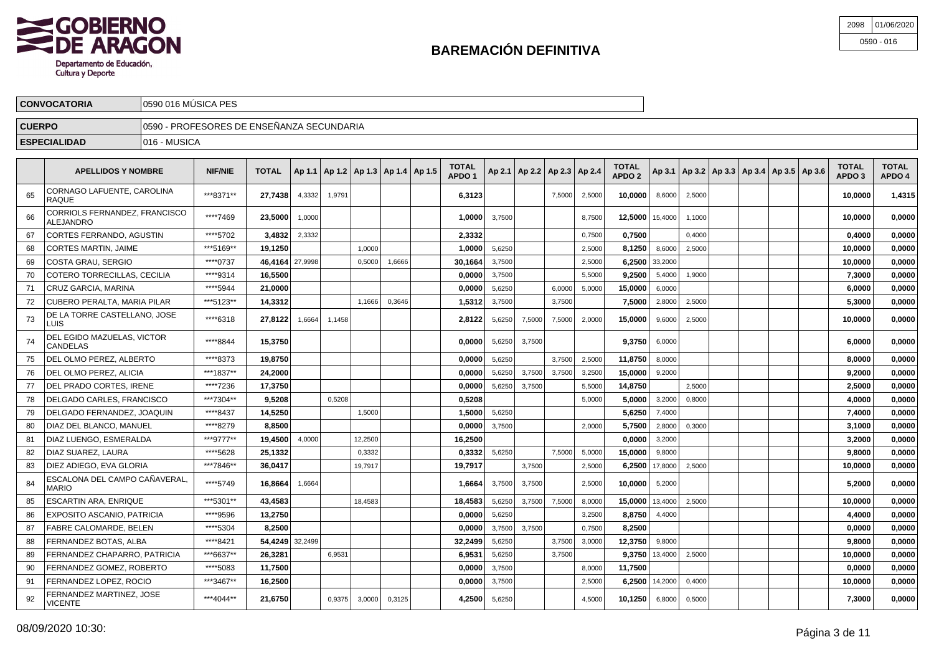

| 2098 01/06/2020 |
|-----------------|
| $0590 - 016$    |

|               | <b>CONVOCATORIA</b> | l 0590 016 MÚSICA PES |                                            |             |   |        |   |  |              |   |   |   |  |              |  |      |  |   |              |              |
|---------------|---------------------|-----------------------|--------------------------------------------|-------------|---|--------|---|--|--------------|---|---|---|--|--------------|--|------|--|---|--------------|--------------|
| <b>CUERPO</b> |                     |                       | √0590 - PROFESORES DE ENSEÑANZA SECUNDARIA |             |   |        |   |  |              |   |   |   |  |              |  |      |  |   |              |              |
|               | <b>ESPECIALIDAD</b> | 1016 - MUSICA         |                                            |             |   |        |   |  |              |   |   |   |  |              |  |      |  |   |              |              |
|               | .                   |                       |                                            | $- - - - -$ | . | .<br>. | . |  | <b>TOTAL</b> | . | . | . |  | <b>TOTAL</b> |  | $-1$ |  | . | <b>TOTAL</b> | <b>TOTAL</b> |

|    | <b>APELLIDOS Y NOMBRE</b>                     | <b>NIF/NIE</b> | <b>TOTAL</b>    |         | Ap 1.1   Ap 1.2   Ap 1.3   Ap 1.4   Ap 1.5 |         |        | TOTAL<br>APDO <sub>1</sub> |        | Ap 2.1   Ap 2.2   Ap 2.3   Ap 2.4 |        |        | <b>TOTAL</b><br>APDO <sub>2</sub> |         | Ap 3.1   Ap 3.2   Ap 3.3   Ap 3.4   Ap 3.5   Ap 3.6 |  |  | <b>TOTAL</b><br>APDO <sub>3</sub> | <b>TOTAL</b><br>APDO 4 |
|----|-----------------------------------------------|----------------|-----------------|---------|--------------------------------------------|---------|--------|----------------------------|--------|-----------------------------------|--------|--------|-----------------------------------|---------|-----------------------------------------------------|--|--|-----------------------------------|------------------------|
| 65 | CORNAGO LAFUENTE, CAROLINA<br><b>RAQUE</b>    | ***8371**      | 27.7438         | 4,3332  | 1.9791                                     |         |        | 6,3123                     |        |                                   | 7.5000 | 2,5000 | 10.0000                           | 8,6000  | 2,5000                                              |  |  | 10.0000                           | 1,4315                 |
| 66 | CORRIOLS FERNANDEZ, FRANCISCO<br>ALEJANDRO    | ****7469       | 23.5000         | 1,0000  |                                            |         |        | 1.00001                    | 3,7500 |                                   |        | 8,7500 | 12.5000   15,4000                 |         | 1,1000                                              |  |  | 10.0000                           | 0.0000                 |
| 67 | CORTES FERRANDO, AGUSTIN                      | ****5702       | 3,4832          | 2,3332  |                                            |         |        | 2,3332                     |        |                                   |        | 0,7500 | 0,7500                            |         | 0,4000                                              |  |  | 0,4000                            | 0,0000                 |
| 68 | <b>CORTES MARTIN, JAIME</b>                   | ***5169**      | 19.1250         |         |                                            | 1.0000  |        | 1,0000                     | 5,6250 |                                   |        | 2,5000 | 8,1250                            | 8,6000  | 2,5000                                              |  |  | 10.0000                           | 0,0000                 |
| 69 | COSTA GRAU, SERGIO                            | ****0737       | 46,4164         | 27,9998 |                                            | 0,5000  | 1,6666 | 30,1664                    | 3,7500 |                                   |        | 2,5000 | 6,2500                            | 33,2000 |                                                     |  |  | 10,0000                           | 0,0000                 |
| 70 | COTERO TORRECILLAS, CECILIA                   | ****9314       | 16,5500         |         |                                            |         |        | 0,0000                     | 3,7500 |                                   |        | 5,5000 | 9.2500                            | 5,4000  | 1,9000                                              |  |  | 7,3000                            | 0,0000                 |
| 71 | CRUZ GARCIA, MARINA                           | **** 5944      | 21.0000         |         |                                            |         |        | 0,0000                     | 5,6250 |                                   | 6,0000 | 5,0000 | 15,0000                           | 6,0000  |                                                     |  |  | 6.0000                            | 0,0000                 |
| 72 | CUBERO PERALTA, MARIA PILAR                   | ***5123**      | 14,3312         |         |                                            | 1,1666  | 0,3646 | 1,5312                     | 3,7500 |                                   | 3,7500 |        | 7,5000                            | 2,8000  | 2,5000                                              |  |  | 5,3000                            | 0,0000                 |
| 73 | DE LA TORRE CASTELLANO, JOSE<br>LUIS          | ****6318       | 27.8122         | 1,6664  | 1,1458                                     |         |        | 2.8122                     | 5,6250 | 7,5000                            | 7.5000 | 2,0000 | 15,0000                           | 9,6000  | 2.5000                                              |  |  | 10.0000                           | 0,0000                 |
| 74 | DEL EGIDO MAZUELAS, VICTOR<br>CANDELAS        | ****8844       | 15.3750         |         |                                            |         |        | 0.0000                     | 5,6250 | 3,7500                            |        |        | 9.3750                            | 6,0000  |                                                     |  |  | 6.0000                            | 0,0000                 |
| 75 | DEL OLMO PEREZ. ALBERTO                       | ****8373       | 19,8750         |         |                                            |         |        | 0,0000                     | 5,6250 |                                   | 3,7500 | 2,5000 | 11,8750                           | 8,0000  |                                                     |  |  | 8,0000                            | 0,0000                 |
| 76 | DEL OLMO PEREZ, ALICIA                        | ***1837**      | 24,2000         |         |                                            |         |        | 0,0000                     | 5,6250 | 3,7500                            | 3,7500 | 3,2500 | 15,0000                           | 9,2000  |                                                     |  |  | 9,2000                            | 0,0000                 |
| 77 | <b>IDEL PRADO CORTES. IRENE</b>               | ****7236       | 17,3750         |         |                                            |         |        | 0.00001                    | 5,6250 | 3,7500                            |        | 5,5000 | 14.8750                           |         | 2,5000                                              |  |  | 2.5000                            | 0,0000                 |
| 78 | DELGADO CARLES, FRANCISCO                     | ***7304**      | 9,5208          |         | 0,5208                                     |         |        | 0,5208                     |        |                                   |        | 5,0000 | 5,0000                            | 3,2000  | 0,8000                                              |  |  | 4,0000                            | 0,0000                 |
| 79 | DELGADO FERNANDEZ, JOAQUIN                    | ****8437       | 14,5250         |         |                                            | 1.5000  |        | 1.5000                     | 5.6250 |                                   |        |        | 5.6250                            | 7.4000  |                                                     |  |  | 7.4000                            | 0,0000                 |
| 80 | DIAZ DEL BLANCO, MANUEL                       | ****8279       | 8,8500          |         |                                            |         |        | 0,0000                     | 3,7500 |                                   |        | 2,0000 | 5,7500                            | 2,8000  | 0,3000                                              |  |  | 3,1000                            | 0,0000                 |
| 81 | DIAZ LUENGO, ESMERALDA                        | ***9777**      | 19,4500         | 4,0000  |                                            | 12.2500 |        | 16,2500                    |        |                                   |        |        | 0.0000                            | 3,2000  |                                                     |  |  | 3,2000                            | 0,0000                 |
| 82 | DIAZ SUAREZ, LAURA                            | ****5628       | 25,1332         |         |                                            | 0,3332  |        | 0,3332                     | 5,6250 |                                   | 7,5000 | 5,0000 | 15,0000                           | 9,8000  |                                                     |  |  | 9.8000                            | 0,0000                 |
| 83 | DIEZ ADIEGO. EVA GLORIA                       | ***7846**      | 36,0417         |         |                                            | 19,7917 |        | 19,7917                    |        | 3,7500                            |        | 2,5000 | 6,2500                            | 17,8000 | 2,5000                                              |  |  | 10,0000                           | 0,0000                 |
| 84 | ESCALONA DEL CAMPO CAÑAVERAL.<br><b>MARIO</b> | ****5749       | 16.8664         | 1,6664  |                                            |         |        | 1.6664                     | 3,7500 | 3,7500                            |        | 2.5000 | 10.0000                           | 5,2000  |                                                     |  |  | 5.2000                            | 0,0000                 |
| 85 | <b>ESCARTIN ARA, ENRIQUE</b>                  | ***5301**      | 43,4583         |         |                                            | 18,4583 |        | 18,4583                    | 5,6250 | 3,7500                            | 7,5000 | 8,0000 | 15,0000                           | 13,4000 | 2,5000                                              |  |  | 10,0000                           | 0,0000                 |
| 86 | EXPOSITO ASCANIO, PATRICIA                    | ****9596       | 13,2750         |         |                                            |         |        | 0,0000                     | 5.6250 |                                   |        | 3,2500 | 8.8750                            | 4,4000  |                                                     |  |  | 4,4000                            | 0,0000                 |
| 87 | <b>FABRE CALOMARDE, BELEN</b>                 | ****5304       | 8.2500          |         |                                            |         |        | 0,0000                     | 3,7500 | 3,7500                            |        | 0,7500 | 8.2500                            |         |                                                     |  |  | 0.0000                            | 0,0000                 |
| 88 | FERNANDEZ BOTAS, ALBA                         | ****8421       | 54,4249 32,2499 |         |                                            |         |        | 32,2499                    | 5,6250 |                                   | 3,7500 | 3,0000 | 12,3750                           | 9,8000  |                                                     |  |  | 9,8000                            | 0,0000                 |
| 89 | FERNANDEZ CHAPARRO. PATRICIA                  | ***6637**      | 26.3281         |         | 6.9531                                     |         |        | 6,9531                     | 5.6250 |                                   | 3.7500 |        | 9.3750                            | 13,4000 | 2.5000                                              |  |  | 10.0000                           | 0,0000                 |
| 90 | FERNANDEZ GOMEZ. ROBERTO                      | ****5083       | 11,7500         |         |                                            |         |        | 0,0000                     | 3,7500 |                                   |        | 8,0000 | 11,7500                           |         |                                                     |  |  | 0,0000                            | 0,0000                 |
| 91 | FERNANDEZ LOPEZ, ROCIO                        | ***3467**      | 16,2500         |         |                                            |         |        | 0,0000                     | 3,7500 |                                   |        | 2,5000 | 6,2500                            | 14,2000 | 0.4000                                              |  |  | 10.0000                           | 0,0000                 |
|    | <b>ERNANDEZ MARTINEZ, JOSE</b><br>VICENTE     | ***4044**      | 21,6750         |         | 0,9375                                     | 3,0000  | 0,3125 | 4,2500                     | 5,6250 |                                   |        | 4,5000 | 10,1250                           | 6,8000  | 0,5000                                              |  |  | 7,3000                            | 0,0000                 |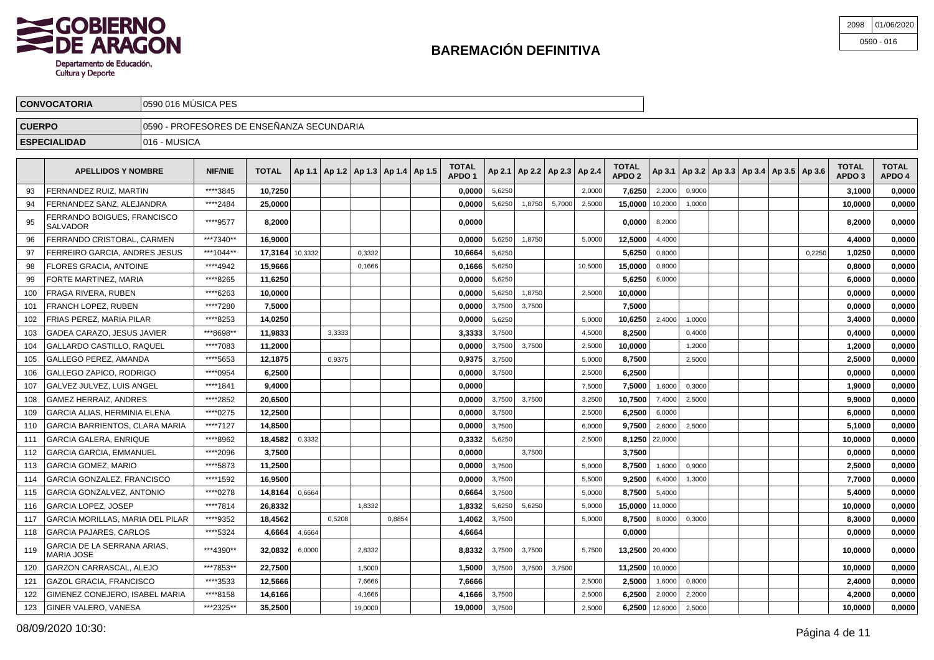

| 2098 01/06/2020 |
|-----------------|
| $0590 - 016$    |

| <b>CONVOCATORIA</b>       | 10590 016 MUSICA PES                       |                |                                                      |  |  |  |  |  |                                   |  |  |  |                                   |                                   |  |  |                                                         |  |                                   |                        |
|---------------------------|--------------------------------------------|----------------|------------------------------------------------------|--|--|--|--|--|-----------------------------------|--|--|--|-----------------------------------|-----------------------------------|--|--|---------------------------------------------------------|--|-----------------------------------|------------------------|
| <b>CUERPO</b>             | 10590 - PROFESORES DE ENSEÑANZA SECUNDARIA |                |                                                      |  |  |  |  |  |                                   |  |  |  |                                   |                                   |  |  |                                                         |  |                                   |                        |
| <b>ESPECIALIDAD</b>       | 1016 - MUSICA                              |                |                                                      |  |  |  |  |  |                                   |  |  |  |                                   |                                   |  |  |                                                         |  |                                   |                        |
| <b>APELLIDOS Y NOMBRE</b> |                                            | <b>NIF/NIE</b> | TOTAL $ $ Ap 1.1   Ap 1.2   Ap 1.3   Ap 1.4   Ap 1.5 |  |  |  |  |  | <b>TOTAL</b><br>APDO <sub>1</sub> |  |  |  | Ap 2.1   Ap 2.2   Ap 2.3   Ap 2.4 | <b>TOTAL</b><br>APDO <sub>2</sub> |  |  | $ $ Ap 3.1   Ap 3.2   Ap 3.3   Ap 3.4   Ap 3.5   Ap 3.6 |  | <b>TOTAL</b><br>APDO <sub>3</sub> | <b>TOTAL</b><br>APDO 4 |

|     | AFLLLIUVJ I NVINDRL                            | <b>NIF/NIL</b> | IVIAL   | $ A P$ $ A P$ $ A P$ $ A P$ $ A P$ |        |         |        | APDO <sub>1</sub> |        | AP 4.1   AP 4.4   AP 4.3 |        | <b>AP 4.4</b> | APDO 2          |                  |        | Ap 3.1   Ap 3.2   Ap 3.3   Ap 3.4   Ap 3.3   Ap 3.0 |  |        | APDO <sub>3</sub> | APDO 4 |
|-----|------------------------------------------------|----------------|---------|------------------------------------|--------|---------|--------|-------------------|--------|--------------------------|--------|---------------|-----------------|------------------|--------|-----------------------------------------------------|--|--------|-------------------|--------|
| 93  | <b>FERNANDEZ RUIZ, MARTIN</b>                  | ****3845       | 10.7250 |                                    |        |         |        | 0.0000            | 5.6250 |                          |        | 2.0000        | 7,6250          | 2.2000           | 0.9000 |                                                     |  |        | 3.1000            | 0,0000 |
| 94  | FERNANDEZ SANZ, ALEJANDRA                      | *****2484      | 25,0000 |                                    |        |         |        | 0,0000            | 5,6250 | 1,8750                   | 5,7000 | 2,5000        | 15,0000         | 10,2000          | 1,0000 |                                                     |  |        | 10,0000           | 0,0000 |
| 95  | FERRANDO BOIGUES, FRANCISCO<br><b>SALVADOR</b> | ****9577       | 8,2000  |                                    |        |         |        | 0,0000            |        |                          |        |               | 0,0000          | 8,2000           |        |                                                     |  |        | 8,2000            | 0,0000 |
| 96  | FERRANDO CRISTOBAL. CARMEN                     | ***7340**      | 16,9000 |                                    |        |         |        | 0,0000            | 5,6250 | 1,8750                   |        | 5,0000        | 12,5000         | 4,4000           |        |                                                     |  |        | 4,4000            | 0,0000 |
| 97  | FERREIRO GARCIA. ANDRES JESUS                  | ***1044**      | 17.3164 | 10,3332                            |        | 0.3332  |        | 10.6664           | 5,6250 |                          |        |               | 5,6250          | 0,8000           |        |                                                     |  | 0,2250 | 1,0250            | 0,0000 |
| 98  | <b>FLORES GRACIA, ANTOINE</b>                  | ****4942       | 15,9666 |                                    |        | 0,1666  |        | 0,1666            | 5,6250 |                          |        | 10,5000       | 15,0000         | 0,8000           |        |                                                     |  |        | 0.8000            | 0,0000 |
| 99  | FORTE MARTINEZ, MARIA                          | ****8265       | 11.6250 |                                    |        |         |        | 0.0000            | 5,6250 |                          |        |               | 5.6250          | 6,0000           |        |                                                     |  |        | 6.0000            | 0,0000 |
| 100 | FRAGA RIVERA, RUBEN                            | ****6263       | 10,0000 |                                    |        |         |        | 0,0000            | 5,6250 | 1,8750                   |        | 2,5000        | 10,0000         |                  |        |                                                     |  |        | 0,0000            | 0,0000 |
| 101 | <b>FRANCH LOPEZ, RUBEN</b>                     | ****7280       | 7,5000  |                                    |        |         |        | 0.0000            | 3,7500 | 3,7500                   |        |               | 7,5000          |                  |        |                                                     |  |        | 0.0000            | 0,0000 |
| 102 | <b>FRIAS PEREZ. MARIA PILAR</b>                | ****8253       | 14,0250 |                                    |        |         |        | 0,0000            | 5,6250 |                          |        | 5,0000        | 10,6250         | 2,4000           | 1,0000 |                                                     |  |        | 3,4000            | 0,0000 |
| 103 | GADEA CARAZO, JESUS JAVIER                     | ***8698**      | 11,9833 |                                    | 3,3333 |         |        | 3,3333            | 3,7500 |                          |        | 4,5000        | 8,2500          |                  | 0,4000 |                                                     |  |        | 0,4000            | 0,0000 |
| 104 | GALLARDO CASTILLO, RAQUEL                      | ****7083       | 11,2000 |                                    |        |         |        | 0,0000            | 3,7500 | 3,7500                   |        | 2,5000        | 10,0000         |                  | 1,2000 |                                                     |  |        | 1,2000            | 0,0000 |
| 105 | GALLEGO PEREZ. AMANDA                          | ****5653       | 12,1875 |                                    | 0,9375 |         |        | 0,9375            | 3,7500 |                          |        | 5,0000        | 8.7500          |                  | 2,5000 |                                                     |  |        | 2,5000            | 0,0000 |
| 106 | GALLEGO ZAPICO, RODRIGO                        | ****0954       | 6.2500  |                                    |        |         |        | 0,0000            | 3,7500 |                          |        | 2,5000        | 6.2500          |                  |        |                                                     |  |        | 0,0000            | 0,0000 |
| 107 | GALVEZ JULVEZ, LUIS ANGEL                      | ****1841       | 9,4000  |                                    |        |         |        | 0,0000            |        |                          |        | 7,5000        | 7,5000          | 1,6000           | 0,3000 |                                                     |  |        | 1,9000            | 0,0000 |
| 108 | GAMEZ HERRAIZ. ANDRES                          | ****2852       | 20,6500 |                                    |        |         |        | 0.0000            | 3,7500 | 3,7500                   |        | 3,2500        | 10,7500         | 7,4000           | 2,5000 |                                                     |  |        | 9.9000            | 0,0000 |
| 109 | GARCIA ALIAS. HERMINIA ELENA                   | ****0275       | 12,2500 |                                    |        |         |        | 0,0000            | 3.7500 |                          |        | 2.5000        | 6.2500          | 6.0000           |        |                                                     |  |        | 6.0000            | 0,0000 |
| 110 | GARCIA BARRIENTOS. CLARA MARIA                 | ****7127       | 14,8500 |                                    |        |         |        | 0,0000            | 3,7500 |                          |        | 6,0000        | 9.7500          | 2,6000           | 2,5000 |                                                     |  |        | 5,1000            | 0,0000 |
| 111 | <b>GARCIA GALERA, ENRIQUE</b>                  | ****8962       | 18,4582 | 0,3332                             |        |         |        | 0,3332            | 5,6250 |                          |        | 2,5000        | 8,1250 22,0000  |                  |        |                                                     |  |        | 10,0000           | 0,0000 |
| 112 | <b>GARCIA GARCIA. EMMANUEL</b>                 | ****2096       | 3.7500  |                                    |        |         |        | 0.0000            |        | 3,7500                   |        |               | 3,7500          |                  |        |                                                     |  |        | 0.0000            | 0,0000 |
| 113 | GARCIA GOMEZ. MARIO                            | ****5873       | 11,2500 |                                    |        |         |        | 0.0000            | 3,7500 |                          |        | 5.0000        | 8.7500          | 1,6000           | 0,9000 |                                                     |  |        | 2.5000            | 0,0000 |
| 114 | GARCIA GONZALEZ, FRANCISCO                     | ****1592       | 16,9500 |                                    |        |         |        | 0,0000            | 3,7500 |                          |        | 5,5000        | 9,2500          | 6,4000           | 1,3000 |                                                     |  |        | 7,7000            | 0,0000 |
| 115 | GARCIA GONZALVEZ, ANTONIO                      | ****0278       | 14,8164 | 0,6664                             |        |         |        | 0,6664            | 3,7500 |                          |        | 5,0000        | 8,7500          | 5,4000           |        |                                                     |  |        | 5,4000            | 0,0000 |
| 116 | <b>GARCIA LOPEZ, JOSEP</b>                     | ****7814       | 26,8332 |                                    |        | 1,8332  |        | 1,8332            | 5,6250 | 5,6250                   |        | 5,0000        | 15,0000 11,0000 |                  |        |                                                     |  |        | 10.0000           | 0,0000 |
| 117 | GARCIA MORILLAS, MARIA DEL PILAR               | ****9352       | 18,4562 |                                    | 0,5208 |         | 0,8854 | 1,4062            | 3,7500 |                          |        | 5,0000        | 8.7500          | 8,0000           | 0,3000 |                                                     |  |        | 8.3000            | 0,0000 |
| 118 | <b>GARCIA PAJARES, CARLOS</b>                  | ****5324       | 4,6664  | 4,6664                             |        |         |        | 4,6664            |        |                          |        |               | 0,0000          |                  |        |                                                     |  |        | 0,0000            | 0,0000 |
| 119 | GARCIA DE LA SERRANA ARIAS.<br>MARIA JOSE      | ***4390**      | 32,0832 | 6,0000                             |        | 2,8332  |        | 8,8332            | 3,7500 | 3,7500                   |        | 5,7500        | 13,2500 20,4000 |                  |        |                                                     |  |        | 10,0000           | 0,0000 |
| 120 | GARZON CARRASCAL, ALEJO                        | ***7853**      | 22,7500 |                                    |        | 1,5000  |        | 1,5000            | 3,7500 | 3,7500                   | 3,7500 |               | 11,2500 10,0000 |                  |        |                                                     |  |        | 10,0000           | 0,0000 |
| 121 | <b>GAZOL GRACIA, FRANCISCO</b>                 | ****3533       | 12,5666 |                                    |        | 7,6666  |        | 7,6666            |        |                          |        | 2,5000        | 2,5000          | 1,6000           | 0,8000 |                                                     |  |        | 2,4000            | 0,0000 |
| 122 | GIMENEZ CONEJERO. ISABEL MARIA                 | ****8158       | 14,6166 |                                    |        | 4,1666  |        | 4,1666            | 3,7500 |                          |        | 2,5000        | 6,2500          | 2,0000           | 2,2000 |                                                     |  |        | 4,2000            | 0,0000 |
| 123 | GINER VALERO, VANESA                           | ***2325**      | 35,2500 |                                    |        | 19,0000 |        | 19,0000           | 3,7500 |                          |        | 2.5000        |                 | $6,2500$ 12,6000 | 2,5000 |                                                     |  |        | 10,0000           | 0,0000 |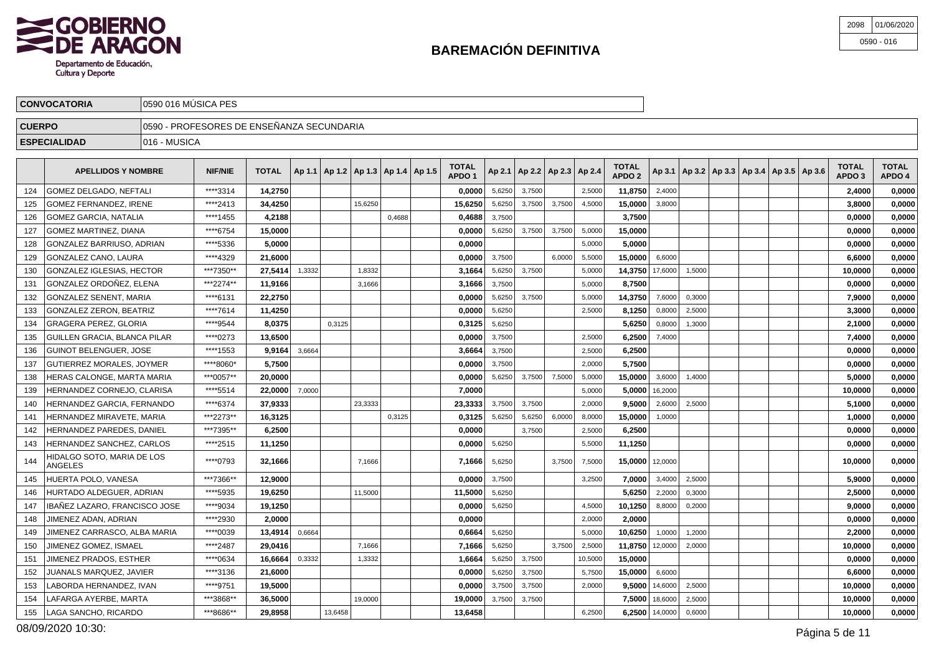

| 2098 01/06/2020 |
|-----------------|
| $0590 - 016$    |

|               | <b>CONVOCATORIA</b>                                                                                                                                                             | 10590 016 MÚSICA PES                      |          |         |  |  |         |        |  |         |        |        |        |                                   |         |        |  |                                                      |                                   |                        |        |
|---------------|---------------------------------------------------------------------------------------------------------------------------------------------------------------------------------|-------------------------------------------|----------|---------|--|--|---------|--------|--|---------|--------|--------|--------|-----------------------------------|---------|--------|--|------------------------------------------------------|-----------------------------------|------------------------|--------|
| <b>CUERPO</b> |                                                                                                                                                                                 | 0590 - PROFESORES DE ENSEÑANZA SECUNDARIA |          |         |  |  |         |        |  |         |        |        |        |                                   |         |        |  |                                                      |                                   |                        |        |
|               | <b>ESPECIALIDAD</b>                                                                                                                                                             | 1016 - MUSICA                             |          |         |  |  |         |        |  |         |        |        |        |                                   |         |        |  |                                                      |                                   |                        |        |
|               | <b>TOTAL</b><br><b>TOTAL</b>   Ap 1.1   Ap 1.2   Ap 1.3   Ap 1.4   Ap 1.5  <br>$ $ Ap 2.1   Ap 2.2   Ap 2.3   Ap 2.4  <br><b>NIF/NIE</b><br><b>APELLIDOS Y NOMBRE</b><br>APDO ' |                                           |          |         |  |  |         |        |  |         |        |        |        | <b>TOTAL</b><br>APDO <sub>2</sub> |         |        |  | $AD3.1$   Ap 3.2   Ap 3.3   Ap 3.4   Ap 3.5   Ap 3.6 | <b>TOTAL</b><br>APDO <sub>3</sub> | <b>TOTAL</b><br>APDO 4 |        |
| 124           | <b>GOMEZ DELGADO, NEFTALI</b>                                                                                                                                                   |                                           | ****3314 | 14.2750 |  |  |         |        |  | 0.00001 | 5,6250 | 3,7500 |        | 2,5000                            | 11.8750 | 2,4000 |  |                                                      |                                   | 2.4000                 | 0,0000 |
| 125           | <b>GOMEZ FERNANDEZ. IRENE</b>                                                                                                                                                   |                                           | ****2413 | 34.4250 |  |  | 15,6250 |        |  | 15.6250 | 5,6250 | 3,7500 | 3,7500 | 4,5000                            | 15.0000 | 3,8000 |  |                                                      |                                   | 3.8000                 | 0,0000 |
| 126           | GOMEZ GARCIA, NATALIA                                                                                                                                                           |                                           | ****1455 | 4,2188  |  |  |         | 0,4688 |  | 0,4688  | 3,7500 |        |        |                                   | 3,7500  |        |  |                                                      |                                   | 0,0000                 | 0,0000 |

| <b>GOMEZ GARCIA, NATALIA</b><br>126          | ****1455  | 4,2188  |        |         |         | 0,4688 |         | 0,4688<br>3,7500 |        |        |         | 3,7500          |                    |        |  | 0,0000  | 0,0000 |
|----------------------------------------------|-----------|---------|--------|---------|---------|--------|---------|------------------|--------|--------|---------|-----------------|--------------------|--------|--|---------|--------|
| <b>GOMEZ MARTINEZ, DIANA</b><br>127          | ****6754  | 15.0000 |        |         |         |        |         | 0.0000<br>5,6250 | 3,7500 | 3,7500 | 5,0000  | 15.0000         |                    |        |  | 0.0000  | 0.0000 |
| GONZALEZ BARRIUSO, ADRIAN<br>128             | ****5336  | 5.0000  |        |         |         |        | 0.0000  |                  |        |        | 5,0000  | 5.0000          |                    |        |  | 0,0000  | 0,0000 |
| <b>GONZALEZ CANO, LAURA</b><br>129           | ****4329  | 21.6000 |        |         |         |        |         | 0.0000<br>3,7500 |        | 6,0000 | 5,5000  | 15,0000         | 6,6000             |        |  | 6.6000  | 0.0000 |
| GONZALEZ IGLESIAS, HECTOR<br>130             | ***7350** | 27,5414 | 1,3332 |         | 1,8332  |        | 3,1664  | 5,6250           | 3,7500 |        | 5,0000  | 14,3750 17,6000 |                    | 1,5000 |  | 10,0000 | 0,0000 |
| GONZALEZ ORDOÑEZ. ELENA<br>131               | ***2274** | 11.9166 |        |         | 3,1666  |        |         | 3,7500<br>3,1666 |        |        | 5,0000  | 8.7500          |                    |        |  | 0.0000  | 0,0000 |
| <b>GONZALEZ SENENT, MARIA</b><br>132         | ****6131  | 22,2750 |        |         |         |        | 0,0000  | 5,6250           | 3,7500 |        | 5.0000  | 14,3750         | 7,6000             | 0.3000 |  | 7,9000  | 0,0000 |
| <b>GONZALEZ ZERON, BEATRIZ</b><br>133        | ****7614  | 11.4250 |        |         |         |        | 0,0000  | 5,6250           |        |        | 2,5000  | 8,1250          | 0,8000             | 2,5000 |  | 3,3000  | 0,0000 |
| 134<br><b>GRAGERA PEREZ. GLORIA</b>          | ****9544  | 8.0375  |        | 0.3125  |         |        |         | 0,3125<br>5,6250 |        |        |         | 5.6250          | 0,8000             | 1.3000 |  | 2.1000  | 0.0000 |
| GUILLEN GRACIA, BLANCA PILAR<br>135          | ****0273  | 13.6500 |        |         |         |        | 0.0000  | 3,7500           |        |        | 2,5000  | 6.2500          | 7,4000             |        |  | 7,4000  | 0,0000 |
| <b>GUINOT BELENGUER, JOSE</b><br>136         | ****1553  | 9,9164  | 3,6664 |         |         |        | 3,6664  | 3,7500           |        |        | 2,5000  | 6,2500          |                    |        |  | 0,0000  | 0,0000 |
| GUTIERREZ MORALES, JOYMER<br>137             | ****8060* | 5,7500  |        |         |         |        |         | 0.0000<br>3,7500 |        |        | 2.0000  | 5,7500          |                    |        |  | 0,0000  | 0,0000 |
| HERAS CALONGE, MARTA MARIA<br>138            | ***0057** | 20.0000 |        |         |         |        | 0,0000  | 5,6250           | 3,7500 | 7,5000 | 5,0000  | 15,0000         | 3,6000             | 1.4000 |  | 5.0000  | 0,0000 |
| HERNANDEZ CORNEJO. CLARISA<br>139            | ****5514  | 22,0000 | 7,0000 |         |         |        | 7,0000  |                  |        |        | 5.0000  |                 | $5.0000$   16,2000 |        |  | 10,0000 | 0,0000 |
| HERNANDEZ GARCIA, FERNANDO<br>140            | ****6374  | 37.9333 |        |         | 23,3333 |        | 23,3333 | 3,7500           | 3,7500 |        | 2,0000  | 9.5000          | 2,6000             | 2,5000 |  | 5.1000  | 0,0000 |
| HERNANDEZ MIRAVETE, MARIA<br>141             | ***2273** | 16.3125 |        |         |         | 0,3125 |         | 5,6250<br>0.3125 | 5,6250 | 6,0000 | 8,0000  | 15,0000         | 1,0000             |        |  | 1.0000  | 0.0000 |
| HERNANDEZ PAREDES, DANIEL<br>142             | ***7395** | 6,2500  |        |         |         |        | 0,0000  |                  | 3,7500 |        | 2,5000  | 6,2500          |                    |        |  | 0,0000  | 0,0000 |
| HERNANDEZ SANCHEZ. CARLOS<br>143             | ****2515  | 11,1250 |        |         |         |        |         | 5,6250<br>0,0000 |        |        | 5,5000  | 11,1250         |                    |        |  | 0.0000  | 0,0000 |
| HIDALGO SOTO. MARIA DE LOS<br>144<br>ANGELES | ****0793  | 32,1666 |        |         | 7.1666  |        |         | 7,1666<br>5,6250 |        | 3,7500 | 7,5000  | 15,0000 12,0000 |                    |        |  | 10,0000 | 0,0000 |
| HUERTA POLO, VANESA<br>145                   | ***7366** | 12,9000 |        |         |         |        | 0,0000  | 3,7500           |        |        | 3,2500  | 7.0000          | 3,4000             | 2,5000 |  | 5,9000  | 0,0000 |
| HURTADO ALDEGUER, ADRIAN<br>146              | ****5935  | 19.6250 |        |         | 11,5000 |        | 11,5000 | 5,6250           |        |        |         | 5.6250          | 2,2000             | 0,3000 |  | 2,5000  | 0,0000 |
| IBAÑEZ LAZARO. FRANCISCO JOSE<br>147         | ****9034  | 19,1250 |        |         |         |        | 0,0000  | 5,6250           |        |        | 4.5000  | 10,1250         | 8,8000             | 0,2000 |  | 9.0000  | 0,0000 |
| JIMENEZ ADAN, ADRIAN<br>148                  | ****2930  | 2.0000  |        |         |         |        | 0.0000  |                  |        |        | 2,0000  | 2.0000          |                    |        |  | 0.0000  | 0,0000 |
| JIMENEZ CARRASCO. ALBA MARIA<br>149          | ****0039  | 13.4914 | 0,6664 |         |         |        | 0.6664  | 5,6250           |        |        | 5,0000  | 10.6250         | 1,0000             | 1,2000 |  | 2.2000  | 0,0000 |
| JIMENEZ GOMEZ, ISMAEL<br>150                 | ****2487  | 29,0416 |        |         | 7,1666  |        |         | 5,6250<br>7,1666 |        | 3.7500 | 2,5000  | 11,8750 12,0000 |                    | 2,0000 |  | 10,0000 | 0,0000 |
| JIMENEZ PRADOS. ESTHER<br>151                | ****0634  | 16,6664 | 0,3332 |         | 1,3332  |        | 1,6664  | 5,6250           | 3,7500 |        | 10,5000 | 15.0000         |                    |        |  | 0,0000  | 0,0000 |
| JUANALS MARQUEZ, JAVIER<br>152               | ****3136  | 21.6000 |        |         |         |        |         | 0.0000<br>5,6250 | 3,7500 |        | 5,7500  | 15,0000         | 6,6000             |        |  | 6,6000  | 0,0000 |
| LABORDA HERNANDEZ. IVAN<br>153               | ****9751  | 19,5000 |        |         |         |        | 0,0000  | 3,7500           | 3,7500 |        | 2,0000  | 9.5000          | 14,6000            | 2,5000 |  | 10.0000 | 0,0000 |
| LAFARGA AYERBE, MARTA<br>154                 | ***3868** | 36.5000 |        |         | 19.0000 |        | 19,0000 | 3,7500           | 3,7500 |        |         |                 | 7,5000 18,6000     | 2,5000 |  | 10,0000 | 0,0000 |
| LAGA SANCHO, RICARDO<br>155                  | ***8686** | 29.8958 |        | 13,6458 |         |        | 13.6458 |                  |        |        | 6,2500  |                 | 6,2500 14,0000     | 0,6000 |  | 10.0000 | 0,0000 |
|                                              |           |         |        |         |         |        |         |                  |        |        |         |                 |                    |        |  |         |        |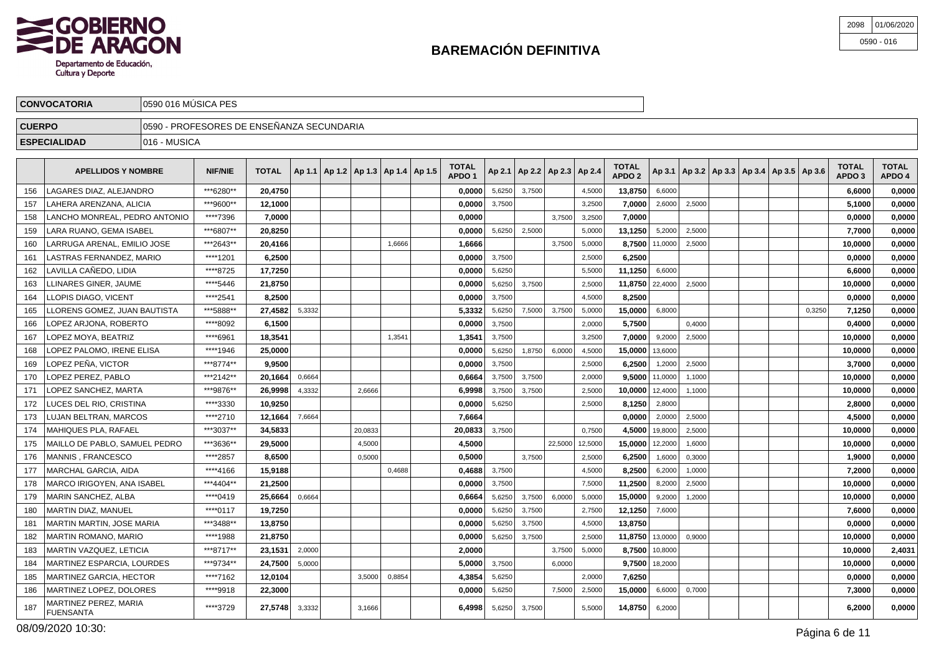

| 2098 01/06/2020 |
|-----------------|
| $0590 - 016$    |

|               | <b>CONVOCATORIA</b>                                                                                                                                                                                                                                                                                                 | 10590 016 MÚSICA PES |                                           |              |                                            |  |                                   |        |                                   |        |                                   |               |  |                                                         |                                   |                        |
|---------------|---------------------------------------------------------------------------------------------------------------------------------------------------------------------------------------------------------------------------------------------------------------------------------------------------------------------|----------------------|-------------------------------------------|--------------|--------------------------------------------|--|-----------------------------------|--------|-----------------------------------|--------|-----------------------------------|---------------|--|---------------------------------------------------------|-----------------------------------|------------------------|
| <b>CUERPO</b> |                                                                                                                                                                                                                                                                                                                     |                      | 0590 - PROFESORES DE ENSEÑANZA SECUNDARIA |              |                                            |  |                                   |        |                                   |        |                                   |               |  |                                                         |                                   |                        |
|               | <b>ESPECIALIDAD</b>                                                                                                                                                                                                                                                                                                 | 1016 - MUSICA        |                                           |              |                                            |  |                                   |        |                                   |        |                                   |               |  |                                                         |                                   |                        |
|               | <b>APELLIDOS Y NOMBRE</b>                                                                                                                                                                                                                                                                                           |                      | <b>NIF/NIE</b>                            | <b>TOTAL</b> | Ap 1.1   Ap 1.2   Ap 1.3   Ap 1.4   Ap 1.5 |  | <b>TOTAL</b><br>APDO <sub>1</sub> |        | Ap 2.1   Ap 2.2   Ap 2.3   Ap 2.4 |        | <b>TOTAL</b><br>APDO <sub>2</sub> |               |  | $ $ Ap 3.1   Ap 3.2   Ap 3.3   Ap 3.4   Ap 3.5   Ap 3.6 | <b>TOTAL</b><br>APDO <sub>3</sub> | <b>TOTAL</b><br>APDO 4 |
| 156           | LAGARES DIAZ, ALEJANDRO                                                                                                                                                                                                                                                                                             |                      | ***6280**                                 | 20.4750      |                                            |  | 0.0000                            | 5,6250 | 3,7500                            | 4,5000 | $13,8750$ 6,6000                  |               |  |                                                         | 6.6000                            | 0,0000                 |
| 157           | LAHERA ARENZANA, ALICIA                                                                                                                                                                                                                                                                                             |                      | ***9600**                                 | 12,1000      |                                            |  | 0,0000                            | 3,7500 |                                   | 3,2500 | 7.0000                            | 2,6000 2,5000 |  |                                                         | 5.1000                            | 0,0000                 |
|               | $\frac{1}{2}$ $\frac{1}{2}$ $\frac{1}{2}$ $\frac{1}{2}$ $\frac{1}{2}$ $\frac{1}{2}$ $\frac{1}{2}$ $\frac{1}{2}$ $\frac{1}{2}$ $\frac{1}{2}$ $\frac{1}{2}$ $\frac{1}{2}$ $\frac{1}{2}$ $\frac{1}{2}$ $\frac{1}{2}$ $\frac{1}{2}$ $\frac{1}{2}$ $\frac{1}{2}$ $\frac{1}{2}$ $\frac{1}{2}$ $\frac{1}{2}$ $\frac{1}{2}$ |                      | $-0.11 - 0.00$                            | $  -$        |                                            |  | $  -$                             |        |                                   | -----  | $  -$                             |               |  |                                                         | $  -$                             | $- - - - -$            |

| 157 | I LAHERA ARENZANA. ALICIA                 | ***9600** | 12,1000 |        |         |        | 0.00001 | 3,7500 |        |         | 3,2500  | 7,0000            | 2,6000           | 2,5000 |  |        | 5,1000  | 0,0000 |
|-----|-------------------------------------------|-----------|---------|--------|---------|--------|---------|--------|--------|---------|---------|-------------------|------------------|--------|--|--------|---------|--------|
| 158 | LANCHO MONREAL. PEDRO ANTONIO             | ****7396  | 7.0000  |        |         |        | 0.0000  |        |        | 3.7500  | 3,2500  | 7.0000            |                  |        |  |        | 0,0000  | 0,0000 |
| 159 | LARA RUANO, GEMA ISABEL                   | ***6807** | 20.8250 |        |         |        | 0.0000  | 5,6250 | 2.5000 |         | 5,0000  | 13,1250           | 5,2000           | 2,5000 |  |        | 7,7000  | 0,0000 |
| 160 | LARRUGA ARENAL. EMILIO JOSE               | ***2643** | 20.4166 |        |         | 1,6666 | 1,6666  |        |        | 3,7500  | 5,0000  |                   | 8,7500 11,0000   | 2,5000 |  |        | 10.0000 | 0,0000 |
| 161 | LASTRAS FERNANDEZ, MARIO                  | ****1201  | 6,2500  |        |         |        | 0,0000  | 3,7500 |        |         | 2,5000  | 6,2500            |                  |        |  |        | 0,0000  | 0,0000 |
| 162 | LAVILLA CAÑEDO. LIDIA                     | ****8725  | 17,7250 |        |         |        | 0,0000  | 5,6250 |        |         | 5,5000  | 11,1250           | 6,6000           |        |  |        | 6,6000  | 0,0000 |
| 163 | LLINARES GINER, JAUME                     | ****5446  | 21,8750 |        |         |        | 0,0000  | 5,6250 | 3,7500 |         | 2,5000  | 11,8750 22,4000   |                  | 2,5000 |  |        | 10,0000 | 0,0000 |
| 164 | <b>LLOPIS DIAGO, VICENT</b>               | ****2541  | 8.2500  |        |         |        | 0.0000  | 3,7500 |        |         | 4,5000  | 8.2500            |                  |        |  |        | 0.0000  | 0,0000 |
| 165 | LLORENS GOMEZ. JUAN BAUTISTA              | ***5888** | 27.4582 | 5,3332 |         |        | 5.3332  | 5,6250 | 7,5000 | 3,7500  | 5,0000  | 15,0000           | 6,8000           |        |  | 0,3250 | 7.1250  | 0.0000 |
| 166 | LOPEZ ARJONA. ROBERTO                     | ****8092  | 6.1500  |        |         |        | 0.0000  | 3,7500 |        |         | 2,0000  | 5.7500            |                  | 0,4000 |  |        | 0.4000  | 0,0000 |
| 167 | LOPEZ MOYA, BEATRIZ                       | ****6961  | 18.3541 |        |         | 1,3541 | 1.3541  | 3,7500 |        |         | 3.2500  | 7.0000            | 9.2000           | 2,5000 |  |        | 10.0000 | 0,0000 |
| 168 | LOPEZ PALOMO. IRENE ELISA                 | ****1946  | 25.0000 |        |         |        | 0.0000  | 5,6250 | 1,8750 | 6,0000  | 4,5000  | 15,0000 13,6000   |                  |        |  |        | 10.0000 | 0,0000 |
| 169 | LOPEZ PEÑA, VICTOR                        | ***8774** | 9.9500  |        |         |        | 0,0000  | 3,7500 |        |         | 2,5000  | 6,2500            | 1,2000           | 2.5000 |  |        | 3.7000  | 0,0000 |
| 170 | LOPEZ PEREZ. PABLO                        | ***2142** | 20.1664 | 0.6664 |         |        | 0.6664  | 3,7500 | 3.7500 |         | 2.0000  |                   | 9.5000 11,0000   | 1.1000 |  |        | 10.0000 | 0,0000 |
| 171 | LOPEZ SANCHEZ, MARTA                      | ***9876** | 26,9998 | 4,3332 | 2.6666  |        | 6,9998  | 3,7500 | 3,7500 |         | 2,5000  | $10,0000$ 12,4000 |                  | 1,1000 |  |        | 10,0000 | 0,0000 |
| 172 | LUCES DEL RIO, CRISTINA                   | ****3330  | 10.9250 |        |         |        | 0,0000  | 5,6250 |        |         | 2,5000  | 8,1250            | 2,8000           |        |  |        | 2.8000  | 0,0000 |
| 173 | <b>LUJAN BELTRAN, MARCOS</b>              | ****2710  | 12.1664 | 7,6664 |         |        | 7,6664  |        |        |         |         | 0.0000 l          | 2,0000           | 2,5000 |  |        | 4,5000  | 0,0000 |
| 174 | MAHIQUES PLA. RAFAEL                      | ***3037** | 34.5833 |        | 20.0833 |        | 20,0833 | 3.7500 |        |         | 0,7500  |                   | 4.5000 19,8000   | 2,5000 |  |        | 10,0000 | 0,0000 |
| 175 | MAILLO DE PABLO, SAMUEL PEDRO             | ***3636** | 29.5000 |        | 4,5000  |        | 4.5000  |        |        | 22,5000 | 12,5000 | 15,0000 12,2000   |                  | 1,6000 |  |        | 10.0000 | 0,0000 |
| 176 | MANNIS . FRANCESCO                        | *****2857 | 8.6500  |        | 0.5000  |        | 0,5000  |        | 3.7500 |         | 2,5000  | 6,2500            | 1,6000           | 0,3000 |  |        | 1,9000  | 0,0000 |
| 177 | <b>MARCHAL GARCIA, AIDA</b>               | ****4166  | 15.9188 |        |         | 0,4688 | 0,4688  | 3,7500 |        |         | 4,5000  | 8,2500            | 6,2000           | 1,0000 |  |        | 7,2000  | 0,0000 |
| 178 | MARCO IRIGOYEN, ANA ISABEL                | ***4404** | 21,2500 |        |         |        | 0,0000  | 3,7500 |        |         | 7,5000  | 11,2500           | 8,2000           | 2,5000 |  |        | 10,0000 | 0,0000 |
| 179 | MARIN SANCHEZ, ALBA                       | ****0419  | 25,6664 | 0,6664 |         |        | 0,6664  | 5,6250 | 3,7500 | 6,0000  | 5,0000  | 15,0000           | 9,2000           | 1,2000 |  |        | 10,0000 | 0,0000 |
| 180 | MARTIN DIAZ, MANUEL                       | ****0117  | 19,7250 |        |         |        | 0,0000  | 5,6250 | 3,7500 |         | 2,7500  | 12,1250           | 7,6000           |        |  |        | 7,6000  | 0,0000 |
| 181 | <b>MARTIN MARTIN, JOSE MARIA</b>          | ***3488** | 13.8750 |        |         |        | 0.0000  | 5,6250 | 3,7500 |         | 4,5000  | 13.8750           |                  |        |  |        | 0.0000  | 0.0000 |
| 182 | <b>MARTIN ROMANO, MARIO</b>               | ****1988  | 21.8750 |        |         |        | 0.0000  | 5,6250 | 3,7500 |         | 2,5000  | 11.8750 13,0000   |                  | 0,9000 |  |        | 10.0000 | 0,0000 |
| 183 | MARTIN VAZQUEZ, LETICIA                   | ***8717** | 23.1531 | 2,0000 |         |        | 2.0000  |        |        | 3,7500  | 5,0000  |                   | 8.7500 10,8000   |        |  |        | 10.0000 | 2,4031 |
| 184 | MARTINEZ ESPARCIA. LOURDES                | ***9734** | 24.7500 | 5.0000 |         |        | 5,0000  | 3.7500 |        | 6.0000  |         |                   | $9,7500$ 18,2000 |        |  |        | 10,0000 | 0,0000 |
| 185 | <b>MARTINEZ GARCIA, HECTOR</b>            | ****7162  | 12.0104 |        | 3,5000  | 0,8854 | 4,3854  | 5,6250 |        |         | 2,0000  | 7.6250            |                  |        |  |        | 0.0000  | 0,0000 |
| 186 | MARTINEZ LOPEZ. DOLORES                   | ****9918  | 22,3000 |        |         |        | 0.0000  | 5,6250 |        | 7,5000  | 2,5000  | 15,0000           | 6,6000           | 0,7000 |  |        | 7,3000  | 0,0000 |
| 187 | MARTINEZ PEREZ, MARIA<br><b>FUENSANTA</b> | ****3729  | 27.5748 | 3,3332 | 3.1666  |        | 6.4998  | 5,6250 | 3,7500 |         | 5,5000  | 14.8750           | 6,2000           |        |  |        | 6.2000  | 0,0000 |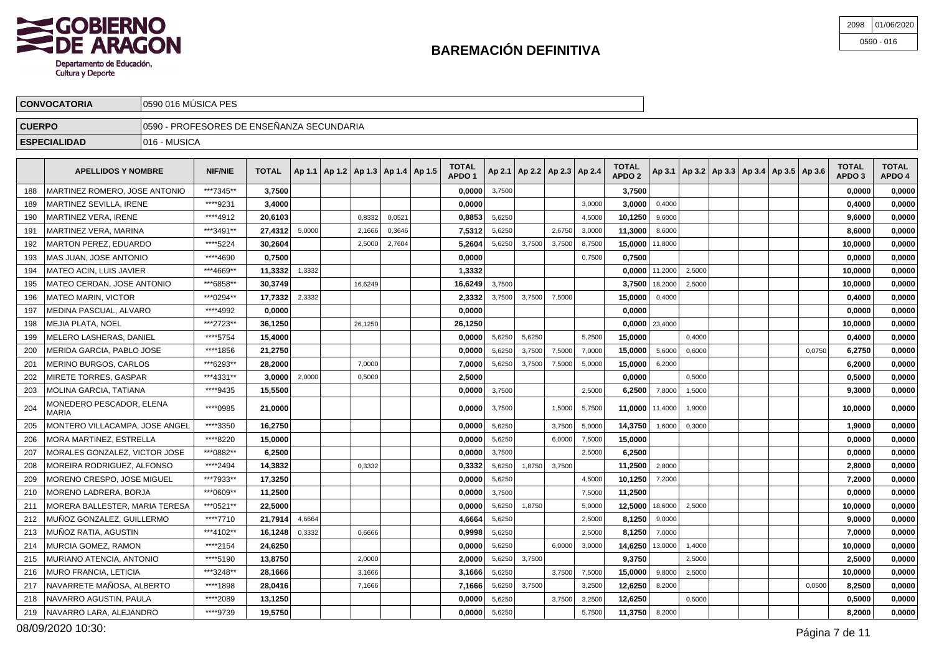

| 2098 01/06/2020 |
|-----------------|
| $0590 - 016$    |

| <b>CONVOCATORIA</b> | 10590 016 MUSICA PES                       |
|---------------------|--------------------------------------------|
| <b>CUERPO</b>       | ∃0590 - PROFESORES DE ENSEÑANZA SECUNDARIA |
| <b>ESPECIALIDAD</b> | - MUSICA<br>1016                           |
|                     |                                            |

|     | <b>APELLIDOS Y NOMBRE</b>                | <b>NIF/NIE</b> | <b>TOTAL</b> |        | Ap 1.1   Ap 1.2   Ap 1.3   Ap 1.4   Ap 1.5 |         |        | TOTAL<br>APDO <sub>1</sub> |        |        |        | Ap 2.1   Ap 2.2   Ap 2.3   Ap 2.4 | TOTAL<br>APDO <sub>2</sub> |                    |        | Ap 3.1   Ap 3.2   Ap 3.3   Ap 3.4   Ap 3.5   Ap 3.6 |        | TOTAL<br>APDO <sub>3</sub> | <b>TOTAL</b><br>APDO 4 |
|-----|------------------------------------------|----------------|--------------|--------|--------------------------------------------|---------|--------|----------------------------|--------|--------|--------|-----------------------------------|----------------------------|--------------------|--------|-----------------------------------------------------|--------|----------------------------|------------------------|
| 188 | MARTINEZ ROMERO, JOSE ANTONIO            | ***7345**      | 3,7500       |        |                                            |         |        | 0.0000                     | 3,7500 |        |        |                                   | 3,7500                     |                    |        |                                                     |        | 0.0000                     | 0,0000                 |
| 189 | MARTINEZ SEVILLA. IRENE                  | ****9231       | 3,4000       |        |                                            |         |        | 0.0000                     |        |        |        | 3,0000                            | 3.0000                     | 0,4000             |        |                                                     |        | 0,4000                     | 0,0000                 |
| 190 | <b>MARTINEZ VERA. IRENE</b>              | ****4912       | 20,6103      |        |                                            | 0.8332  | 0,0521 | 0,8853                     | 5.6250 |        |        | 4,5000                            | 10,1250                    | 9,6000             |        |                                                     |        | 9,6000                     | 0,0000                 |
| 191 | <b>MARTINEZ VERA, MARINA</b>             | ***3491**      | 27,4312      | 5,0000 |                                            | 2.1666  | 0,3646 | 7,5312                     | 5,6250 |        | 2.6750 | 3,0000                            | 11,3000                    | 8,6000             |        |                                                     |        | 8,6000                     | 0,0000                 |
| 192 | <b>MARTON PEREZ, EDUARDO</b>             | **** 5224      | 30,2604      |        |                                            | 2,5000  | 2,7604 | 5,2604                     | 5,6250 | 3,7500 | 3,7500 | 8,7500                            | 15,0000                    | 11,8000            |        |                                                     |        | 10,0000                    | 0,0000                 |
| 193 | MAS JUAN, JOSE ANTONIO                   | ****4690       | 0,7500       |        |                                            |         |        | 0,0000                     |        |        |        | 0,7500                            | 0,7500                     |                    |        |                                                     |        | 0,0000                     | 0,0000                 |
| 194 | MATEO ACIN, LUIS JAVIER                  | ***4669**      | 11,3332      | 1,3332 |                                            |         |        | 1,3332                     |        |        |        |                                   | 0,0000                     | 11,2000            | 2,5000 |                                                     |        | 10,0000                    | 0,0000                 |
| 195 | MATEO CERDAN, JOSE ANTONIO               | ***6858**      | 30,3749      |        |                                            | 16,6249 |        | 16.6249                    | 3,7500 |        |        |                                   | 3,7500                     | 18,2000            | 2,5000 |                                                     |        | 10,0000                    | 0,0000                 |
| 196 | <b>MATEO MARIN, VICTOR</b>               | ***0294**      | 17,7332      | 2,3332 |                                            |         |        | 2,3332                     | 3,7500 | 3,7500 | 7,5000 |                                   | 15,0000                    | 0,4000             |        |                                                     |        | 0,4000                     | 0,0000                 |
| 197 | MEDINA PASCUAL, ALVARO                   | ****4992       | 0,0000       |        |                                            |         |        | 0,0000                     |        |        |        |                                   | 0.0000                     |                    |        |                                                     |        | 0,0000                     | 0,0000                 |
| 198 | MEJIA PLATA, NOEL                        | ***2723**      | 36,1250      |        |                                            | 26.1250 |        | 26,1250                    |        |        |        |                                   |                            | $0.0000$   23,4000 |        |                                                     |        | 10.0000                    | 0,0000                 |
| 199 | MELERO LASHERAS. DANIEL                  | ****5754       | 15,4000      |        |                                            |         |        | 0.0000                     | 5,6250 | 5,6250 |        | 5.2500                            | 15,0000                    |                    | 0.4000 |                                                     |        | 0,4000                     | 0,0000                 |
| 200 | MERIDA GARCIA. PABLO JOSE                | ****1856       | 21,2750      |        |                                            |         |        | 0.0000                     | 5,6250 | 3,7500 | 7,5000 | 7,0000                            | 15.0000                    | 5,6000             | 0,6000 |                                                     | 0,0750 | 6.2750                     | 0,0000                 |
| 201 | MERINO BURGOS, CARLOS                    | ***6293**      | 28,2000      |        |                                            | 7,0000  |        | 7,0000                     | 5,6250 | 3,7500 | 7,5000 | 5,0000                            | 15,0000                    | 6,2000             |        |                                                     |        | 6,2000                     | 0,0000                 |
| 202 | MIRETE TORRES, GASPAR                    | ***4331**      | 3,0000       | 2,0000 |                                            | 0,5000  |        | 2,5000                     |        |        |        |                                   | 0,0000                     |                    | 0,5000 |                                                     |        | 0,5000                     | 0,0000                 |
| 203 | <b>MOLINA GARCIA, TATIANA</b>            | ****9435       | 15,5500      |        |                                            |         |        | 0,0000                     | 3,7500 |        |        | 2,5000                            | 6,2500                     | 7,8000             | 1,5000 |                                                     |        | 9,3000                     | 0,0000                 |
| 204 | MONEDERO PESCADOR, ELENA<br><b>MARIA</b> | ****0985       | 21,0000      |        |                                            |         |        | 0.0000                     | 3,7500 |        | 1,5000 | 5,7500                            | 11,0000                    | 11,4000            | 1,9000 |                                                     |        | 10.0000                    | 0,0000                 |
| 205 | MONTERO VILLACAMPA. JOSE ANGEL           | ****3350       | 16,2750      |        |                                            |         |        | 0.0000                     | 5,6250 |        | 3,7500 | 5,0000                            | 14,3750                    | 1,6000             | 0,3000 |                                                     |        | 1,9000                     | 0,0000                 |
| 206 | MORA MARTINEZ. ESTRELLA                  | ****8220       | 15,0000      |        |                                            |         |        | 0.0000                     | 5,6250 |        | 6,0000 | 7,5000                            | 15,0000                    |                    |        |                                                     |        | 0,0000                     | 0,0000                 |
| 207 | MORALES GONZALEZ. VICTOR JOSE            | ***0882**      | 6.2500       |        |                                            |         |        | 0.0000                     | 3,7500 |        |        | 2,5000                            | 6.2500                     |                    |        |                                                     |        | 0.0000                     | 0.0000                 |
| 208 | MOREIRA RODRIGUEZ, ALFONSO               | ****2494       | 14,3832      |        |                                            | 0,3332  |        | 0,3332                     | 5,6250 | 1,8750 | 3,7500 |                                   | 11,2500                    | 2,8000             |        |                                                     |        | 2,8000                     | 0,0000                 |
| 209 | MORENO CRESPO, JOSE MIGUEL               | ***7933**      | 17,3250      |        |                                            |         |        | 0,0000                     | 5,6250 |        |        | 4,5000                            | 10,1250                    | 7,2000             |        |                                                     |        | 7,2000                     | 0,0000                 |
| 210 | MORENO LADRERA, BORJA                    | ***0609**      | 11,2500      |        |                                            |         |        | 0,0000                     | 3,7500 |        |        | 7,5000                            | 11,2500                    |                    |        |                                                     |        | 0,0000                     | 0,0000                 |
| 211 | MORERA BALLESTER, MARIA TERESA           | ***0521**      | 22,5000      |        |                                            |         |        | 0,0000                     | 5,6250 | 1,8750 |        | 5,0000                            | 12,5000                    | 18,6000            | 2,5000 |                                                     |        | 10,0000                    | 0,0000                 |
| 212 | MUÑOZ GONZALEZ, GUILLERMO                | ****7710       | 21,7914      | 4,6664 |                                            |         |        | 4,6664                     | 5,6250 |        |        | 2,5000                            | 8,1250                     | 9,0000             |        |                                                     |        | 9.0000                     | 0,0000                 |
| 213 | MUNOZ RATIA, AGUSTIN                     | ***4102**      | 16,1248      | 0,3332 |                                            | 0,6666  |        | 0,9998                     | 5,6250 |        |        | 2,5000                            | 8,1250                     | 7,0000             |        |                                                     |        | 7.0000                     | 0,0000                 |
| 214 | <b>MURCIA GOMEZ, RAMON</b>               | ****2154       | 24,6250      |        |                                            |         |        | 0.0000                     | 5.6250 |        | 6.0000 | 3,0000                            | 14,6250                    | 13,0000            | 1.4000 |                                                     |        | 10,0000                    | 0,0000                 |
| 215 | MURIANO ATENCIA, ANTONIO                 | ****5190       | 13,8750      |        |                                            | 2,0000  |        | 2.0000                     | 5,6250 | 3,7500 |        |                                   | 9.3750                     |                    | 2,5000 |                                                     |        | 2.5000                     | 0,0000                 |
| 216 | <b>MURO FRANCIA, LETICIA</b>             | ***3248**      | 28,1666      |        |                                            | 3,1666  |        | 3,1666                     | 5,6250 |        | 3,7500 | 7,5000                            | 15,0000                    | 9,8000             | 2,5000 |                                                     |        | 10,0000                    | 0,0000                 |
| 217 | NAVARRETE MAÑOSA, ALBERTO                | ****1898       | 28,0416      |        |                                            | 7,1666  |        | 7,1666                     | 5,6250 | 3,7500 |        | 3,2500                            | 12,6250                    | 8,2000             |        |                                                     | 0,0500 | 8,2500                     | 0,0000                 |
| 218 | NAVARRO AGUSTIN. PAULA                   | ****2089       | 13,1250      |        |                                            |         |        | 0,0000                     | 5,6250 |        | 3,7500 | 3,2500                            | 12,6250                    |                    | 0,5000 |                                                     |        | 0,5000                     | 0,0000                 |
| 219 | NAVARRO LARA, ALEJANDRO                  | ****9739       | 19,5750      |        |                                            |         |        | 0.0000                     | 5,6250 |        |        | 5,7500                            | 11,3750                    | 8,2000             |        |                                                     |        | 8.2000                     | 0,0000                 |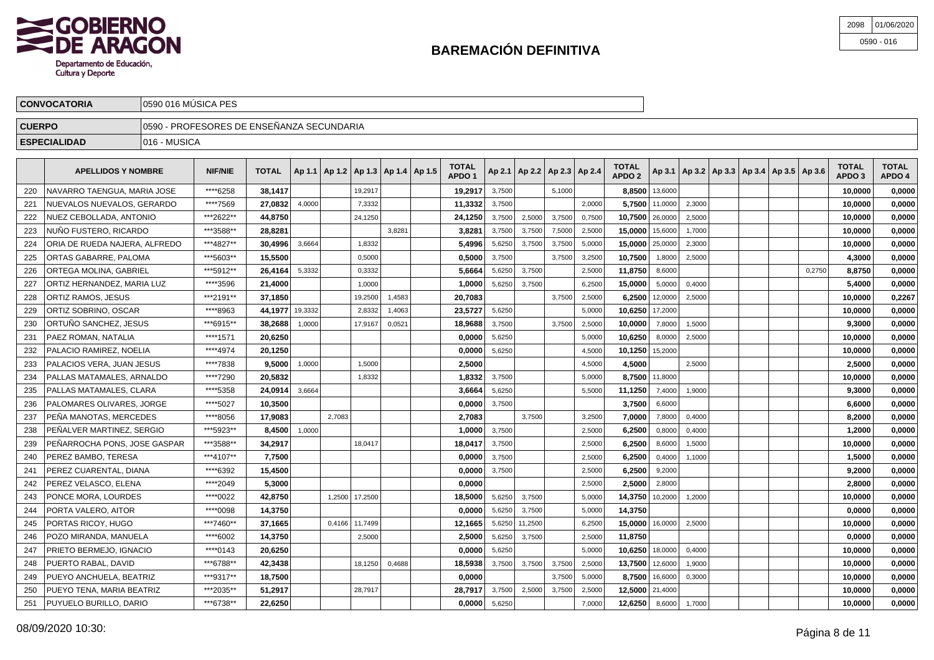

| 2098 01/06/2020 |
|-----------------|
| $0590 - 016$    |

|               | <b>CONVOCATORIA</b>             | 10590 016 MUSICA PES                       |                |              |         |  |         |  |                                                |                             |                                       |  |        |        |                                   |                          |  |  |                                                     |                        |                        |
|---------------|---------------------------------|--------------------------------------------|----------------|--------------|---------|--|---------|--|------------------------------------------------|-----------------------------|---------------------------------------|--|--------|--------|-----------------------------------|--------------------------|--|--|-----------------------------------------------------|------------------------|------------------------|
| <b>CUERPO</b> |                                 | 10590 - PROFESORES DE ENSEÑANZA SECUNDARIA |                |              |         |  |         |  |                                                |                             |                                       |  |        |        |                                   |                          |  |  |                                                     |                        |                        |
|               | <b>ESPECIALIDAD</b>             | 1016 - MUSICA                              |                |              |         |  |         |  |                                                |                             |                                       |  |        |        |                                   |                          |  |  |                                                     |                        |                        |
|               | <b>APELLIDOS Y NOMBRE</b>       |                                            | <b>NIF/NIE</b> | <b>TOTAL</b> |         |  |         |  | $ $ Ap 1.1   Ap 1.2   Ap 1.3   Ap 1.4   Ap 1.5 | <b>TOTAL</b><br><b>APDO</b> | $ $ Ap 2.1   Ap 2.2   Ap 2.3   Ap 2.4 |  |        |        | <b>TOTAL</b><br>APDO <sub>2</sub> |                          |  |  | Ap 3.1   Ap 3.2   Ap 3.3   Ap 3.4   Ap 3.5   Ap 3.6 | <b>TOTAL</b><br>APDO 3 | <b>TOTAL</b><br>APDO 4 |
| 220           | NAVARRO TAENGUA, MARIA JOSE     |                                            | ****6258       | 38.1417      |         |  | 19,2917 |  |                                                | 19.2917                     | 3,7500                                |  | 5,1000 |        |                                   | $8,8500$   13,6000       |  |  |                                                     | 10.0000                | 0,0000                 |
|               | 221 INITEVALOS NUEVALOS GERARDO |                                            | ****7560       | ∣ כרפח דכ    | u uuu r |  | 7 3332  |  |                                                | 11 วววว 1                   | 3.7500                                |  |        | 2.0000 |                                   | $57500$ $110000$ $23000$ |  |  |                                                     | 10.0000                | n nnnn L               |

| 221 | NUEVALOS NUEVALOS, GERARDO    | *****7569 | 27,0832         | 4,0000 |        | 7,3332         |        | 11,3332 | 3,7500 |         |        | 2,0000 |                 | $5,7500$   11,0000 | 2,3000 |  |        | 10,0000 | 0,0000 |
|-----|-------------------------------|-----------|-----------------|--------|--------|----------------|--------|---------|--------|---------|--------|--------|-----------------|--------------------|--------|--|--------|---------|--------|
| 222 | NUEZ CEBOLLADA, ANTONIO       | ***2622** | 44.8750         |        |        | 24,1250        |        | 24.1250 | 3,7500 | 2,5000  | 3,7500 | 0,7500 | 10.7500         | 26,0000            | 2,5000 |  |        | 10,0000 | 0.0000 |
| 223 | NUÑO FUSTERO. RICARDO         | ***3588** | 28.8281         |        |        |                | 3,8281 | 3,828   | 3,7500 | 3,7500  | 7,5000 | 2,5000 | 15,0000 15,6000 |                    | 1,7000 |  |        | 10.0000 | 0,0000 |
| 224 | ORIA DE RUEDA NAJERA, ALFREDO | ***4827** | 30,4996         | 3,6664 |        | 1,8332         |        | 5,4996  | 5,6250 | 3,7500  | 3,7500 | 5,0000 | 15,0000 25,0000 |                    | 2,3000 |  |        | 10,0000 | 0,0000 |
| 225 | ORTAS GABARRE, PALOMA         | ***5603** | 15,5500         |        |        | 0,5000         |        | 0.5000  | 3,7500 |         | 3,7500 | 3,2500 | 10.7500         | 1,8000             | 2,5000 |  |        | 4,3000  | 0.0000 |
| 226 | ORTEGA MOLINA, GABRIEL        | ***5912** | 26,4164         | 5,3332 |        | 0,3332         |        | 5.6664  | 5,6250 | 3,7500  |        | 2,5000 | 11,8750         | 8,6000             |        |  | 0.2750 | 8,8750  | 0,0000 |
| 227 | ORTIZ HERNANDEZ, MARIA LUZ    | ****3596  | 21,4000         |        |        | 1,0000         |        | 1,0000  | 5,6250 | 3,7500  |        | 6,2500 | 15,0000         | 5,0000             | 0.4000 |  |        | 5,4000  | 0,0000 |
| 228 | ORTIZ RAMOS, JESUS            | ***2191** | 37.1850         |        |        | 19,2500        | 1,4583 | 20.7083 |        |         | 3,7500 | 2,5000 | 6.2500          | 12,0000            | 2,5000 |  |        | 10.0000 | 0.2267 |
| 229 | ORTIZ SOBRINO, OSCAR          | ****8963  | 44,1977 19,3332 |        |        | 2.8332         | 1,4063 | 23,5727 | 5,6250 |         |        | 5,0000 | 10,6250         | 17,2000            |        |  |        | 10.0000 | 0.0000 |
| 230 | ORTUNO SANCHEZ, JESUS         | ***6915** | 38,2688         | 1,0000 |        | 17,9167        | 0,0521 | 18,9688 | 3,7500 |         | 3,7500 | 2,5000 | 10,0000         | 7,8000             | 1,5000 |  |        | 9,3000  | 0,0000 |
| 231 | PAEZ ROMAN, NATALIA           | ****1571  | 20,6250         |        |        |                |        | 0,0000  | 5,6250 |         |        | 5,0000 | 10,6250         | 8,0000             | 2,5000 |  |        | 10,0000 | 0,0000 |
| 232 | PALACIO RAMIREZ. NOELIA       | ****4974  | 20.1250         |        |        |                |        | 0.0000  | 5,6250 |         |        | 4,5000 | 10,1250         | 15,2000            |        |  |        | 10.0000 | 0,0000 |
| 233 | PALACIOS VERA, JUAN JESUS     | ****7838  | 9,5000          | 1,0000 |        | 1.5000         |        | 2,5000  |        |         |        | 4,5000 | 4,5000          |                    | 2,5000 |  |        | 2,5000  | 0,0000 |
| 234 | PALLAS MATAMALES, ARNALDO     | ****7290  | 20,5832         |        |        | 1,8332         |        | 1,8332  | 3,7500 |         |        | 5,0000 |                 | 8,7500 11,8000     |        |  |        | 10,0000 | 0,0000 |
| 235 | PALLAS MATAMALES. CLARA       | ****5358  | 24.0914         | 3,6664 |        |                |        | 3,6664  | 5.6250 |         |        | 5.5000 | 11,1250         | 7,4000             | 1.9000 |  |        | 9,3000  | 0,0000 |
| 236 | PALOMARES OLIVARES. JORGE     | ****5027  | 10,3500         |        |        |                |        | 0,0000  | 3,7500 |         |        |        | 3,7500          | 6,6000             |        |  |        | 6,6000  | 0,0000 |
| 237 | PENA MANOTAS, MERCEDES        | ****8056  | 17.9083         |        | 2,7083 |                |        | 2,7083  |        | 3,7500  |        | 3,2500 | 7,0000          | 7,8000             | 0,4000 |  |        | 8,2000  | 0,0000 |
| 238 | PEÑALVER MARTINEZ, SERGIO     | ***5923** | 8.4500          | 1,0000 |        |                |        | 1.0000  | 3,7500 |         |        | 2,5000 | 6,2500          | 0,8000             | 0,4000 |  |        | 1,2000  | 0.0000 |
| 239 | PEÑARROCHA PONS, JOSE GASPAR  | ***3588** | 34,2917         |        |        | 18,0417        |        | 18,0417 | 3,7500 |         |        | 2,5000 | 6,2500          | 8,6000             | 1,5000 |  |        | 10,0000 | 0,0000 |
| 240 | PEREZ BAMBO, TERESA           | ***4107** | 7,7500          |        |        |                |        | 0,0000  | 3,7500 |         |        | 2,5000 | 6,2500          | 0,4000             | 1,1000 |  |        | 1,5000  | 0,0000 |
| 241 | PEREZ CUARENTAL, DIANA        | ****6392  | 15.4500         |        |        |                |        | 0.0000  | 3.7500 |         |        | 2,5000 | 6,2500          | 9,2000             |        |  |        | 9.2000  | 0.0000 |
| 242 | PEREZ VELASCO. ELENA          | ****2049  | 5.3000          |        |        |                |        | 0.0000  |        |         |        | 2,5000 | 2,5000          | 2,8000             |        |  |        | 2,8000  | 0.0000 |
| 243 | PONCE MORA, LOURDES           | ****0022  | 42,8750         |        |        | 1,2500 17,2500 |        | 18,5000 | 5,6250 | 3,7500  |        | 5,0000 | 14,3750         | 10,2000            | 1,2000 |  |        | 10,0000 | 0,0000 |
| 244 | PORTA VALERO. AITOR           | ****0098  | 14.3750         |        |        |                |        | 0.0000  | 5,6250 | 3,7500  |        | 5,0000 | 14,3750         |                    |        |  |        | 0,0000  | 0.0000 |
| 245 | PORTAS RICOY. HUGO            | ***7460** | 37,1665         |        |        | 0,4166 11,7499 |        | 12,1665 | 5,6250 | 11,2500 |        | 6.2500 | 15,0000         | 16,0000            | 2,5000 |  |        | 10,0000 | 0,0000 |
| 246 | POZO MIRANDA, MANUELA         | ****6002  | 14,3750         |        |        | 2,5000         |        | 2,5000  | 5,6250 | 3,7500  |        | 2,5000 | 11,8750         |                    |        |  |        | 0,0000  | 0,0000 |
| 247 | PRIETO BERMEJO. IGNACIO       | ****0143  | 20.6250         |        |        |                |        | 0.0000  | 5,6250 |         |        | 5,0000 | 10.6250         | 18,0000            | 0,4000 |  |        | 10.0000 | 0.0000 |
| 248 | PUERTO RABAL, DAVID           | ***6788** | 42,3438         |        |        | 18.1250        | 0,4688 | 18,5938 | 3,7500 | 3,7500  | 3,7500 | 2,5000 | 13,7500         | 12,6000            | 1,9000 |  |        | 10,0000 | 0,0000 |
| 249 | PUEYO ANCHUELA, BEATRIZ       | ***9317** | 18,7500         |        |        |                |        | 0,0000  |        |         | 3,7500 | 5,0000 |                 | 8,7500 16,6000     | 0,3000 |  |        | 10,0000 | 0,0000 |
| 250 | PUEYO TENA. MARIA BEATRIZ     | ***2035** | 51.2917         |        |        | 28,7917        |        | 28,7917 | 3,7500 | 2,5000  | 3,7500 | 2,5000 | 12,5000         | 21,4000            |        |  |        | 10,0000 | 0,0000 |
| 251 | PUYUELO BURILLO, DARIO        | ***6738** | 22.6250         |        |        |                |        | 0.0000  | 5,6250 |         |        | 7.0000 | 12,6250         | 8,6000             | 1,7000 |  |        | 10.0000 | 0,0000 |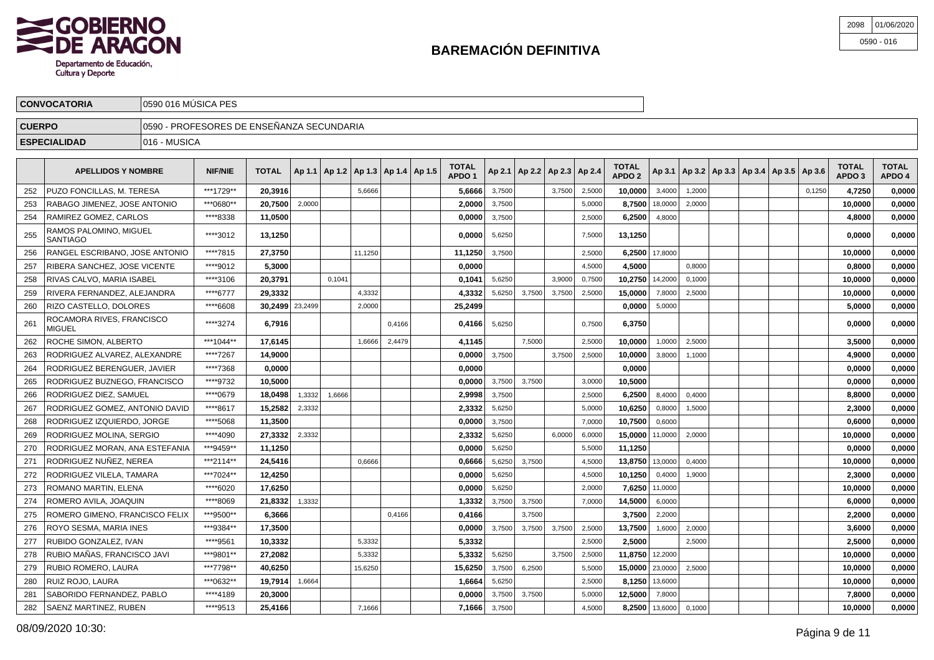

| 2098 01/06/2020 |
|-----------------|
| $0590 - 016$    |

| <b>CONVOCATORIA</b> | 10590 016 MUSICA PES                       |
|---------------------|--------------------------------------------|
| <b>CUERPO</b>       | ∏0590 - PROFESORES DE ENSEÑANZA SECUNDARIA |
| <b>ESPECIALIDAD</b> | 1016 - MUSICA                              |
|                     |                                            |

|     | <b>APELLIDOS Y NOMBRE</b>                 | <b>NIF/NIE</b> | <b>TOTAL</b>    |        | Ap 1.1   Ap 1.2   Ap 1.3   Ap 1.4   Ap 1.5 |         |        | TOTAL<br>APDO <sub>1</sub> |        |        |        | Ap 2.1   Ap 2.2   Ap 2.3   Ap 2.4 | TOTAL<br>APDO <sub>2</sub> |                    | Ap 3.1   Ap 3.2   Ap 3.3   Ap 3.4   Ap 3.5   Ap 3.6 |  |        | TOTAL<br>APDO <sub>3</sub> | <b>TOTAL</b><br>APDO 4 |
|-----|-------------------------------------------|----------------|-----------------|--------|--------------------------------------------|---------|--------|----------------------------|--------|--------|--------|-----------------------------------|----------------------------|--------------------|-----------------------------------------------------|--|--------|----------------------------|------------------------|
| 252 | <b>PUZO FONCILLAS. M. TERESA</b>          | ***1729**      | 20.3916         |        |                                            | 5.6666  |        | 5,6666                     | 3.7500 |        | 3.7500 | 2,5000                            | 10.0000                    | 3.4000             | 1,2000                                              |  | 0.1250 | 4.7250                     | 0,0000                 |
| 253 | RABAGO JIMENEZ, JOSE ANTONIO              | ***0680**      | 20.7500         | 2,0000 |                                            |         |        | 2,0000                     | 3,7500 |        |        | 5,0000                            | 8.7500                     | 18,0000            | 2,0000                                              |  |        | 10,0000                    | 0,0000                 |
| 254 | RAMIREZ GOMEZ, CARLOS                     | ****8338       | 11,0500         |        |                                            |         |        | 0,0000                     | 3,7500 |        |        | 2,5000                            | 6,2500                     | 4,8000             |                                                     |  |        | 4,8000                     | 0,0000                 |
| 255 | RAMOS PALOMINO, MIGUEL<br><b>SANTIAGO</b> | ****3012       | 13,1250         |        |                                            |         |        | 0.0000                     | 5,6250 |        |        | 7,5000                            | 13,1250                    |                    |                                                     |  |        | 0.0000                     | 0,0000                 |
| 256 | RANGEL ESCRIBANO, JOSE ANTONIO            | ****7815       | 27,3750         |        |                                            | 11.1250 |        | 11,1250                    | 3,7500 |        |        | 2.5000                            | 6,2500                     | 17,8000            |                                                     |  |        | 10,0000                    | 0,0000                 |
| 257 | RIBERA SANCHEZ, JOSE VICENTE              | ****9012       | 5,3000          |        |                                            |         |        | 0,0000                     |        |        |        | 4,5000                            | 4,5000                     |                    | 0,8000                                              |  |        | 0,8000                     | 0,0000                 |
| 258 | RIVAS CALVO. MARIA ISABEL                 | ****3106       | 20.3791         |        | 0,1041                                     |         |        | 0.1041                     | 5,6250 |        | 3,9000 | 0,7500                            | 10.2750                    | 14,2000            | 0,1000                                              |  |        | 10.0000                    | 0,0000                 |
| 259 | RIVERA FERNANDEZ, ALEJANDRA               | ****6777       | 29,3332         |        |                                            | 4,3332  |        | 4,3332                     | 5,6250 | 3,7500 | 3.7500 | 2,5000                            | 15,0000                    | 7.8000             | 2,5000                                              |  |        | 10,0000                    | 0,0000                 |
| 260 | RIZO CASTELLO, DOLORES                    | ****6608       | 30,2499 23,2499 |        |                                            | 2,0000  |        | 25,2499                    |        |        |        |                                   | 0,0000                     | 5,0000             |                                                     |  |        | 5.0000                     | 0,0000                 |
| 261 | ROCAMORA RIVES, FRANCISCO<br>MIGUEL       | ****3274       | 6,7916          |        |                                            |         | 0,4166 | 0,4166                     | 5,6250 |        |        | 0,7500                            | 6,3750                     |                    |                                                     |  |        | 0,0000                     | 0,0000                 |
| 262 | ROCHE SIMON. ALBERTO                      | ***1044**      | 17,6145         |        |                                            | 1.6666  | 2,4479 | 4,1145                     |        | 7.5000 |        | 2.5000                            | 10.0000                    | 1.0000             | 2.5000                                              |  |        | 3.5000                     | 0,0000                 |
| 263 | RODRIGUEZ ALVAREZ, ALEXANDRE              | ****7267       | 14,9000         |        |                                            |         |        | 0.0000                     | 3,7500 |        | 3,7500 | 2,5000                            | 10.0000                    | 3,8000             | 1,1000                                              |  |        | 4,9000                     | 0,0000                 |
| 264 | RODRIGUEZ BERENGUER, JAVIER               | ****7368       | 0,0000          |        |                                            |         |        | 0,0000                     |        |        |        |                                   | 0,0000                     |                    |                                                     |  |        | 0,0000                     | 0,0000                 |
| 265 | RODRIGUEZ BUZNEGO, FRANCISCO              | ****9732       | 10,5000         |        |                                            |         |        | 0.0000                     | 3,7500 | 3,7500 |        | 3.0000                            | 10,5000                    |                    |                                                     |  |        | 0.0000                     | 0,0000                 |
| 266 | RODRIGUEZ DIEZ, SAMUEL                    | ****0679       | 18.0498         | 1,3332 | 1.6666                                     |         |        | 2,9998                     | 3,7500 |        |        | 2.5000                            | 6.2500                     | 8.4000             | 0,4000                                              |  |        | 8.8000                     | 0,0000                 |
| 267 | RODRIGUEZ GOMEZ, ANTONIO DAVID            | ****8617       | 15,2582         | 2,3332 |                                            |         |        | 2,3332                     | 5,6250 |        |        | 5,0000                            | 10,6250                    | 0,8000             | 1,5000                                              |  |        | 2,3000                     | 0,0000                 |
| 268 | RODRIGUEZ IZQUIERDO, JORGE                | ****5068       | 11,3500         |        |                                            |         |        | 0,0000                     | 3,7500 |        |        | 7,0000                            | 10,7500                    | 0,6000             |                                                     |  |        | 0,6000                     | 0,0000                 |
| 269 | RODRIGUEZ MOLINA, SERGIO                  | ****4090       | 27,3332         | 2,3332 |                                            |         |        | 2,3332                     | 5,6250 |        | 6.0000 | 6,0000                            | 15,0000                    | 11,0000            | 2,0000                                              |  |        | 10,0000                    | 0,0000                 |
| 270 | RODRIGUEZ MORAN, ANA ESTEFANIA            | ***9459**      | 11,1250         |        |                                            |         |        | 0,0000                     | 5,6250 |        |        | 5,5000                            | 11,1250                    |                    |                                                     |  |        | 0,0000                     | 0,0000                 |
| 271 | RODRIGUEZ NUÑEZ, NEREA                    | ***2114**      | 24,5416         |        |                                            | 0,6666  |        | 0,6666                     | 5,6250 | 3,7500 |        | 4,5000                            | 13,8750                    | 13,0000            | 0,4000                                              |  |        | 10,0000                    | 0,0000                 |
| 272 | RODRIGUEZ VILELA, TAMARA                  | ***7024**      | 12,4250         |        |                                            |         |        | 0,0000                     | 5,6250 |        |        | 4,5000                            | 10,1250                    | 0,4000             | 1,9000                                              |  |        | 2,3000                     | 0,0000                 |
| 273 | ROMANO MARTIN. ELENA                      | ****6020       | 17.6250         |        |                                            |         |        | 0,0000                     | 5.6250 |        |        | 2.0000                            | 7.6250                     | 11,0000            |                                                     |  |        | 10.0000                    | 0,0000                 |
| 274 | ROMERO AVILA, JOAQUIN                     | ****8069       | 21,8332         | 1,3332 |                                            |         |        | 1,3332                     | 3,7500 | 3,7500 |        | 7,0000                            | 14,5000                    | 6,0000             |                                                     |  |        | 6,0000                     | 0,0000                 |
| 275 | ROMERO GIMENO, FRANCISCO FELIX            | ***9500**      | 6,3666          |        |                                            |         | 0,4166 | 0,4166                     |        | 3,7500 |        |                                   | 3,7500                     | 2,2000             |                                                     |  |        | 2,2000                     | 0,0000                 |
| 276 | ROYO SESMA, MARIA INES                    | ***9384**      | 17,3500         |        |                                            |         |        | 0.0000                     | 3,7500 | 3,7500 | 3,7500 | 2,5000                            | 13,7500                    | 1,6000             | 2,0000                                              |  |        | 3.6000                     | 0,0000                 |
| 277 | RUBIDO GONZALEZ. IVAN                     | ****9561       | 10,3332         |        |                                            | 5.3332  |        | 5,3332                     |        |        |        | 2.5000                            | 2.5000                     |                    | 2.5000                                              |  |        | 2,5000                     | 0,0000                 |
| 278 | RUBIO MAÑAS. FRANCISCO JAVI               | ***9801**      | 27,2082         |        |                                            | 5,3332  |        | 5,3332                     | 5,6250 |        | 3.7500 | 2,5000                            | 11,8750 12,2000            |                    |                                                     |  |        | 10,0000                    | 0,0000                 |
| 279 | RUBIO ROMERO, LAURA                       | ***7798**      | 40,6250         |        |                                            | 15,6250 |        | 15,6250                    | 3,7500 | 6,2500 |        | 5,5000                            | 15,0000   23,0000          |                    | 2,5000                                              |  |        | 10,0000                    | 0,0000                 |
| 280 | RUIZ ROJO, LAURA                          | ***0632**      | 19,7914         | 1,6664 |                                            |         |        | 1.6664                     | 5,6250 |        |        | 2,5000                            | 8,1250 13,6000             |                    |                                                     |  |        | 10.0000                    | 0,0000                 |
| 281 | SABORIDO FERNANDEZ, PABLO                 | ****4189       | 20,3000         |        |                                            |         |        | 0,0000                     | 3,7500 | 3,7500 |        | 5.0000                            | 12.5000                    | 7,8000             |                                                     |  |        | 7.8000                     | 0,0000                 |
| 282 | SAENZ MARTINEZ, RUBEN                     | ****9513       | 25,4166         |        |                                            | 7,1666  |        | 7,1666                     | 3,7500 |        |        | 4.5000                            |                            | $8,2500$   13,6000 | 0,1000                                              |  |        | 10.0000                    | 0,0000                 |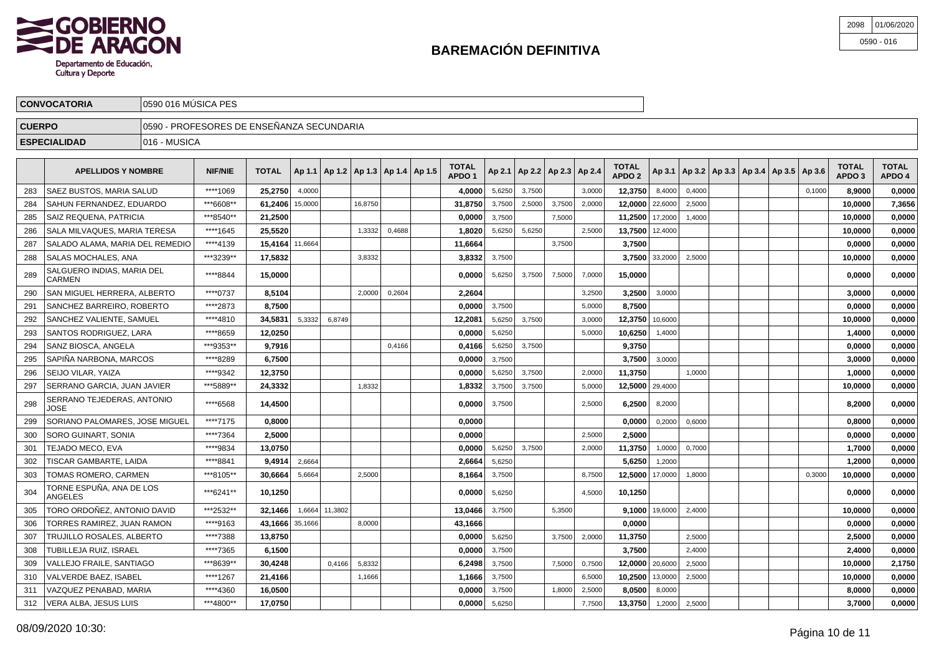

| 2098 | 01/06/2020   |
|------|--------------|
|      | $0590 - 016$ |

|                                      | <b>CONVOCATORIA</b>                                         |  | 10590 016 MUSICA PES |              |  |                                                    |  |  |                 |  |  |                                       |  |                                   |  |  |  |                                                         |                                   |                        |
|--------------------------------------|-------------------------------------------------------------|--|----------------------|--------------|--|----------------------------------------------------|--|--|-----------------|--|--|---------------------------------------|--|-----------------------------------|--|--|--|---------------------------------------------------------|-----------------------------------|------------------------|
|                                      | 10590 - PROFESORES DE ENSEÑANZA SECUNDARIA<br><b>CUERPO</b> |  |                      |              |  |                                                    |  |  |                 |  |  |                                       |  |                                   |  |  |  |                                                         |                                   |                        |
| 1016 - MUSICA<br><b>ESPECIALIDAD</b> |                                                             |  |                      |              |  |                                                    |  |  |                 |  |  |                                       |  |                                   |  |  |  |                                                         |                                   |                        |
|                                      | <b>APELLIDOS Y NOMBRE</b>                                   |  | <b>NIF/NIE</b>       | <b>TOTAL</b> |  | $\vert$ Ap 1.1   Ap 1.2   Ap 1.3   Ap 1.4   Ap 1.5 |  |  | TOTAL<br>APDO 1 |  |  | $ $ Ap 2.1   Ap 2.2   Ap 2.3   Ap 2.4 |  | <b>TOTAL</b><br>APDO <sub>2</sub> |  |  |  | $ $ Ap 3.1   Ap 3.2   Ap 3.3   Ap 3.4   Ap 3.5   Ap 3.6 | <b>TOTAL</b><br>APDO <sub>3</sub> | <b>TOTAL</b><br>APDO 4 |

|     | APELLIDUS I NUMBRE                   | NIL/NIE   | IUIAL             |        |         | AD 1.1   AD 1.2   AD 1.3   AD 1.4   AD 1.5 |        | APDO <sub>1</sub> |        | $APZ.1$   Ap 2.2   Ap 2.3   Ap 2.4 |        |        | APDO <sub>2</sub> |                    |        |  | Ap 3.1   Ap 3.2   Ap 3.3   Ap 3.4   Ap 3.5   Ap 3.6 |        | APDO 3  | APDO 4 |
|-----|--------------------------------------|-----------|-------------------|--------|---------|--------------------------------------------|--------|-------------------|--------|------------------------------------|--------|--------|-------------------|--------------------|--------|--|-----------------------------------------------------|--------|---------|--------|
| 283 | <b>SAEZ BUSTOS, MARIA SALUD</b>      | ****1069  | 25,2750           | 4,0000 |         |                                            |        | 4,0000            | 5,6250 | 3,7500                             |        | 3.0000 | 12,3750           | 8,4000             | 0,4000 |  |                                                     | 0.1000 | 8,9000  | 0,0000 |
| 284 | SAHUN FERNANDEZ. EDUARDO             | ***6608** | 61,2406   15,0000 |        |         | 16,8750                                    |        | 31,8750           | 3,7500 | 2,5000                             | 3,7500 | 2,0000 | 12,0000 22,6000   |                    | 2,5000 |  |                                                     |        | 10,0000 | 7,3656 |
| 285 | <b>SAIZ REQUENA, PATRICIA</b>        | ***8540** | 21,2500           |        |         |                                            |        | 0,0000            | 3,7500 |                                    | 7,5000 |        | 11,2500   17,2000 |                    | 1,4000 |  |                                                     |        | 10,0000 | 0,0000 |
| 286 | SALA MILVAQUES, MARIA TERESA         | ****1645  | 25,5520           |        |         | 1,3332                                     | 0,4688 | 1,8020            | 5,6250 | 5,6250                             |        | 2,5000 | 13,7500 12,4000   |                    |        |  |                                                     |        | 10.0000 | 0,0000 |
| 287 | SALADO ALAMA, MARIA DEL REMEDIO      | ****4139  | 15.4164 11,6664   |        |         |                                            |        | 11,6664           |        |                                    | 3,7500 |        | 3,7500            |                    |        |  |                                                     |        | 0.0000  | 0,0000 |
| 288 | SALAS MOCHALES, ANA                  | ***3239** | 17.5832           |        |         | 3.8332                                     |        | 3,8332            | 3,7500 |                                    |        |        |                   | $3.7500$   33,2000 | 2,5000 |  |                                                     |        | 10.0000 | 0,0000 |
| 289 | SALGUERO INDIAS. MARIA DEL<br>CARMEN | ****8844  | 15,0000           |        |         |                                            |        | 0.0000            | 5,6250 | 3,7500                             | 7,5000 | 7,0000 | 15,0000           |                    |        |  |                                                     |        | 0.0000  | 0,0000 |
| 290 | SAN MIGUEL HERRERA, ALBERTO          | ****0737  | 8,5104            |        |         | 2.0000                                     | 0,2604 | 2,2604            |        |                                    |        | 3,2500 | 3,2500            | 3,0000             |        |  |                                                     |        | 3,0000  | 0,0000 |
| 291 | SANCHEZ BARREIRO, ROBERTO            | ****2873  | 8,7500            |        |         |                                            |        | 0,0000            | 3,7500 |                                    |        | 5,0000 | 8,7500            |                    |        |  |                                                     |        | 0,0000  | 0,0000 |
| 292 | <b>SANCHEZ VALIENTE, SAMUEL</b>      | ****4810  | 34,5831           | 5,3332 | 6,8749  |                                            |        | 12,2081           | 5,6250 | 3,7500                             |        | 3,0000 | 12,3750 10,6000   |                    |        |  |                                                     |        | 10,0000 | 0,0000 |
| 293 | SANTOS RODRIGUEZ, LARA               | ****8659  | 12,0250           |        |         |                                            |        | 0,0000            | 5,6250 |                                    |        | 5,0000 | 10,6250           | 1,4000             |        |  |                                                     |        | 1,4000  | 0,0000 |
| 294 | SANZ BIOSCA, ANGELA                  | ***9353** | 9,7916            |        |         |                                            | 0,4166 | 0,4166            | 5,6250 | 3,7500                             |        |        | 9,3750            |                    |        |  |                                                     |        | 0.0000  | 0,0000 |
| 295 | SAPIÑA NARBONA, MARCOS               | ****8289  | 6,7500            |        |         |                                            |        | 0,0000            | 3,7500 |                                    |        |        |                   | $3,7500$ 3,0000    |        |  |                                                     |        | 3,0000  | 0,0000 |
| 296 | <b>SEIJO VILAR. YAIZA</b>            | ****9342  | 12,3750           |        |         |                                            |        | 0.0000            | 5,6250 | 3,7500                             |        | 2,0000 | 11,3750           |                    | 1,0000 |  |                                                     |        | 1,0000  | 0,0000 |
| 297 | SERRANO GARCIA, JUAN JAVIER          | ***5889** | 24,3332           |        |         | 1,8332                                     |        | 1,8332            | 3,7500 | 3,7500                             |        | 5,0000 | 12,5000   29,4000 |                    |        |  |                                                     |        | 10,0000 | 0,0000 |
| 298 | SERRANO TEJEDERAS, ANTONIO<br>JOSE   | ****6568  | 14,4500           |        |         |                                            |        | 0,0000            | 3,7500 |                                    |        | 2,5000 | 6,2500            | 8,2000             |        |  |                                                     |        | 8,2000  | 0,0000 |
| 299 | SORIANO PALOMARES, JOSE MIGUEL       | ****7175  | 0,8000            |        |         |                                            |        | 0,0000            |        |                                    |        |        | 0,0000            | 0,2000             | 0,6000 |  |                                                     |        | 0,8000  | 0,0000 |
| 300 | SORO GUINART, SONIA                  | ****7364  | 2,5000            |        |         |                                            |        | 0,0000            |        |                                    |        | 2,5000 | 2,5000            |                    |        |  |                                                     |        | 0,0000  | 0,0000 |
| 301 | TEJADO MECO, EVA                     | ****9834  | 13,0750           |        |         |                                            |        | 0,0000            | 5,6250 | 3,7500                             |        | 2,0000 | 11,3750           | 1,0000             | 0,7000 |  |                                                     |        | 1,7000  | 0,0000 |
| 302 | TISCAR GAMBARTE, LAIDA               | ****8841  | 9,4914            | 2,6664 |         |                                            |        | 2,6664            | 5,6250 |                                    |        |        | 5,6250            | 1,2000             |        |  |                                                     |        | 1,2000  | 0,0000 |
| 303 | TOMAS ROMERO, CARMEN                 | ***8105** | 30,6664           | 5,6664 |         | 2,5000                                     |        | 8,1664            | 3,7500 |                                    |        | 8,7500 |                   | 12,5000   17,0000  | 1,8000 |  |                                                     | 0,3000 | 10,0000 | 0,0000 |
| 304 | TORNE ESPUÑA, ANA DE LOS<br>ANGELES  | ***6241** | 10,1250           |        |         |                                            |        | 0,0000            | 5,6250 |                                    |        | 4,5000 | 10,1250           |                    |        |  |                                                     |        | 0,0000  | 0,0000 |
| 305 | TORO ORDOÑEZ, ANTONIO DAVID          | ***2532** | 32,1466           | 1,6664 | 11,3802 |                                            |        | 13,0466           | 3,7500 |                                    | 5,3500 |        |                   | $9,1000$   19,6000 | 2,4000 |  |                                                     |        | 10,0000 | 0,0000 |
| 306 | TORRES RAMIREZ, JUAN RAMON           | ****9163  | 43,1666 35,1666   |        |         | 8,0000                                     |        | 43,1666           |        |                                    |        |        | 0,0000            |                    |        |  |                                                     |        | 0,0000  | 0,0000 |
| 307 | TRUJILLO ROSALES, ALBERTO            | ****7388  | 13,8750           |        |         |                                            |        | 0,0000            | 5,6250 |                                    | 3,7500 | 2,0000 | 11,3750           |                    | 2,5000 |  |                                                     |        | 2,5000  | 0,0000 |
| 308 | TUBILLEJA RUIZ, ISRAEL               | ****7365  | 6,1500            |        |         |                                            |        | 0,0000            | 3,7500 |                                    |        |        | 3,7500            |                    | 2,4000 |  |                                                     |        | 2,4000  | 0,0000 |
| 309 | VALLEJO FRAILE, SANTIAGO             | ***8639** | 30,4248           |        | 0,4166  | 5,8332                                     |        | 6,2498            | 3,7500 |                                    | 7,5000 | 0,7500 | 12,0000           | 20,6000            | 2,5000 |  |                                                     |        | 10,0000 | 2,1750 |
| 310 | VALVERDE BAEZ, ISABEL                | ****1267  | 21,4166           |        |         | 1,1666                                     |        | 1,1666            | 3,7500 |                                    |        | 6,5000 | 10,2500           | 13,0000            | 2,5000 |  |                                                     |        | 10,0000 | 0,0000 |
| 311 | VAZQUEZ PENABAD. MARIA               | ****4360  | 16,0500           |        |         |                                            |        | 0,0000            | 3,7500 |                                    | 1,8000 | 2,5000 | 8,0500            | 8,0000             |        |  |                                                     |        | 8,0000  | 0,0000 |
| 312 | <b>VERA ALBA, JESUS LUIS</b>         | ***4800** | 17.0750           |        |         |                                            |        | 0.0000            | 5,6250 |                                    |        | 7,7500 | 13,3750           | 1,2000             | 2.5000 |  |                                                     |        | 3.7000  | 0,0000 |